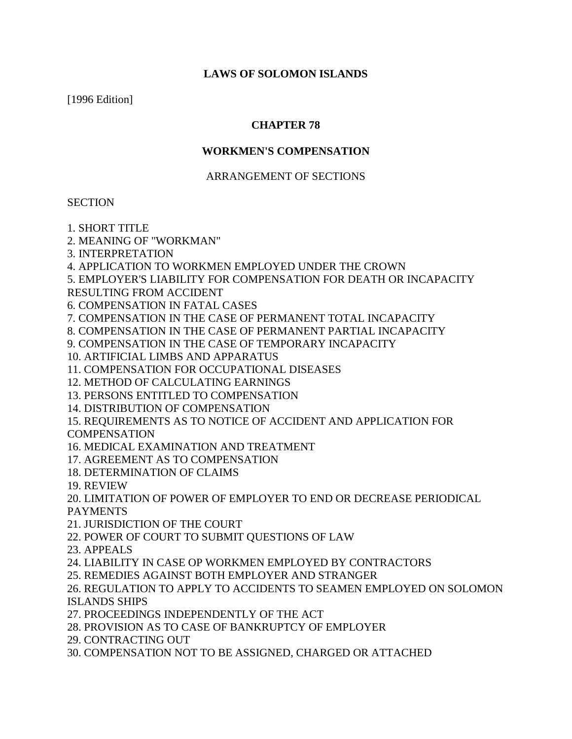### **LAWS OF SOLOMON ISLANDS**

[1996 Edition]

### **CHAPTER 78**

### **WORKMEN'S COMPENSATION**

### ARRANGEMENT OF SECTIONS

### **SECTION**

- 1. SHORT TITLE
- 2. MEANING OF "WORKMAN"
- 3. INTERPRETATION

4. APPLICATION TO WORKMEN EMPLOYED UNDER THE CROWN

5. EMPLOYER'S LIABILITY FOR COMPENSATION FOR DEATH OR INCAPACITY

RESULTING FROM ACCIDENT

- 6. COMPENSATION IN FATAL CASES
- 7. COMPENSATION IN THE CASE OF PERMANENT TOTAL INCAPACITY
- 8. COMPENSATION IN THE CASE OF PERMANENT PARTIAL INCAPACITY
- 9. COMPENSATION IN THE CASE OF TEMPORARY INCAPACITY
- 10. ARTIFICIAL LIMBS AND APPARATUS
- 11. COMPENSATION FOR OCCUPATIONAL DISEASES
- 12. METHOD OF CALCULATING EARNINGS
- 13. PERSONS ENTITLED TO COMPENSATION
- 14. DISTRIBUTION OF COMPENSATION
- 15. REQUIREMENTS AS TO NOTICE OF ACCIDENT AND APPLICATION FOR

**COMPENSATION** 

- 16. MEDICAL EXAMINATION AND TREATMENT
- 17. AGREEMENT AS TO COMPENSATION
- 18. DETERMINATION OF CLAIMS
- 19. REVIEW
- 20. LIMITATION OF POWER OF EMPLOYER TO END OR DECREASE PERIODICAL PAYMENTS
- 21. JURISDICTION OF THE COURT
- 22. POWER OF COURT TO SUBMIT QUESTIONS OF LAW
- 23. APPEALS
- 24. LIABILITY IN CASE OP WORKMEN EMPLOYED BY CONTRACTORS
- [25. REMEDIES](http://22.23.24.23.remedies/) AGAINST BOTH EMPLOYER AND STRANGER
- 26. REGULATION TO APPLY TO ACCIDENTS TO SEAMEN EMPLOYED ON SOLOMON ISLANDS SHIPS
- 27. PROCEEDINGS INDEPENDENTLY OF THE ACT
- 28. PROVISION AS TO CASE OF BANKRUPTCY OF EMPLOYER
- 29. CONTRACTING OUT
- 30. COMPENSATION NOT TO BE ASSIGNED, CHARGED OR ATTACHED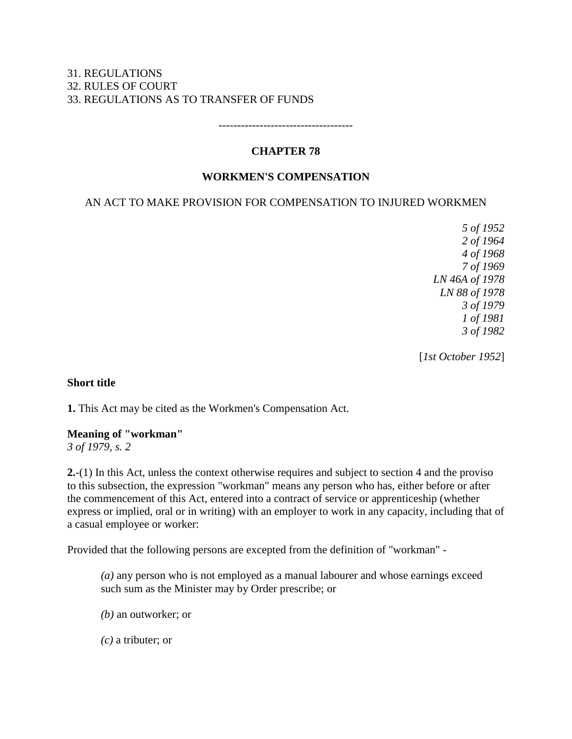### 31. REGULATIONS 32. RULES OF COURT 33. REGULATIONS AS TO TRANSFER OF FUNDS

## **CHAPTER 78**

------------------------------------

### **WORKMEN'S COMPENSATION**

### AN ACT TO MAKE PROVISION FOR COMPENSATION TO INJURED WORKMEN

*5 of 1952 2 of 1964 4 of 1968 7 of 1969 LN 46A of 1978 LN 88 of 1978 3 of 1979 1 of 1981 3 of 1982*

[*1st October 1952*]

#### **Short title**

**1.** This Act may be cited as the Workmen's Compensation Act.

#### **Meaning of "workman"**

*3 of 1979, s. 2*

**2.**-(1) In this Act, unless the context otherwise requires and subject to section 4 and the proviso to this subsection, the expression "workman" means any person who has, either before or after the commencement of this Act, entered into a contract of service or apprenticeship (whether express or implied, oral or in writing) with an employer to work in any capacity, including that of a casual employee or worker:

Provided that the following persons are excepted from the definition of "workman" -

*(a)* any person who is not employed as a manual labourer and whose earnings exceed such sum as the Minister may by Order prescribe; or

- *(b)* an outworker; or
- *(c)* a tributer; or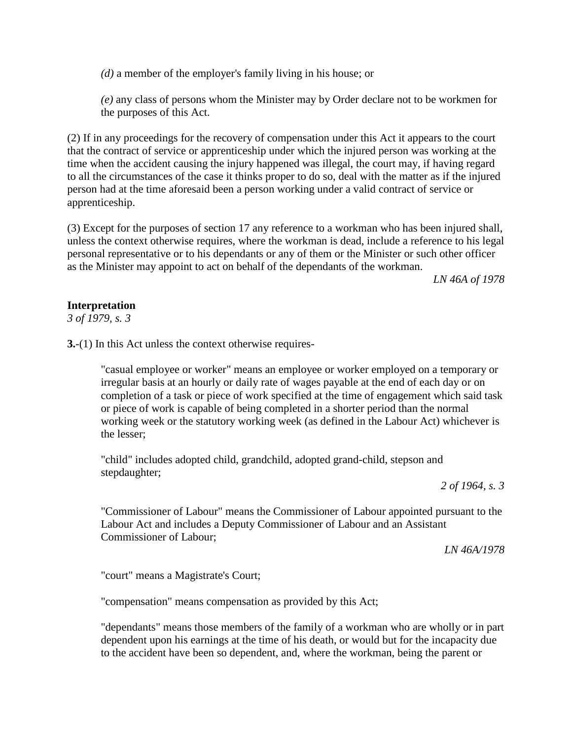*(d)* a member of the employer's family living in his house; or

*(e)* any class of persons whom the Minister may by Order declare not to be workmen for the purposes of this Act.

(2) If in any proceedings for the recovery of compensation under this Act it appears to the court that the contract of service or apprenticeship under which the injured person was working at the time when the accident causing the injury happened was illegal, the court may, if having regard to all the circumstances of the case it thinks proper to do so, deal with the matter as if the injured person had at the time aforesaid been a person working under a valid contract of service or apprenticeship.

(3) Except for the purposes of section 17 any reference to a workman who has been injured shall, unless the context otherwise requires, where the workman is dead, include a reference to his legal personal representative or to his dependants or any of them or the Minister or such other officer as the Minister may appoint to act on behalf of the dependants of the workman.

*LN 46A of 1978*

### **Interpretation**

*3 of 1979, s. 3*

**3.**-(1) In this Act unless the context otherwise requires-

"casual employee or worker" means an employee or worker employed on a temporary or irregular basis at an hourly or daily rate of wages payable at the end of each day or on completion of a task or piece of work specified at the time of engagement which said task or piece of work is capable of being completed in a shorter period than the normal working week or the statutory working week (as defined in the Labour Act) whichever is the lesser;

"child" includes adopted child, grandchild, adopted grand-child, stepson and stepdaughter;

*2 of 1964, s. 3*

"Commissioner of Labour" means the Commissioner of Labour appointed pursuant to the Labour Act and includes a Deputy Commissioner of Labour and an Assistant Commissioner of Labour;

*LN 46A/1978*

"court" means a Magistrate's Court;

"compensation" means compensation as provided by this Act;

"dependants" means those members of the family of a workman who are wholly or in part dependent upon his earnings at the time of his death, or would but for the incapacity due to the accident have been so dependent, and, where the workman, being the parent or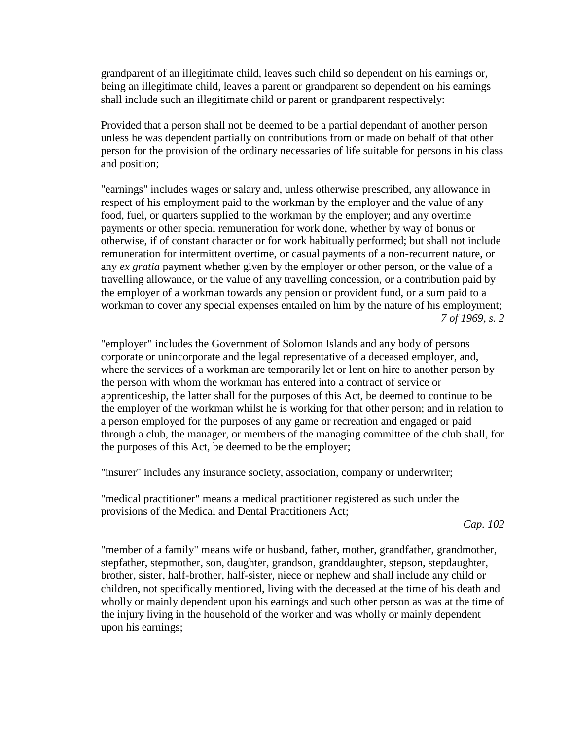grandparent of an illegitimate child, leaves such child so dependent on his earnings or, being an illegitimate child, leaves a parent or grandparent so dependent on his earnings shall include such an illegitimate child or parent or grandparent respectively:

Provided that a person shall not be deemed to be a partial dependant of another person unless he was dependent partially on contributions from or made on behalf of that other person for the provision of the ordinary necessaries of life suitable for persons in his class and position;

"earnings" includes wages or salary and, unless otherwise prescribed, any allowance in respect of his employment paid to the workman by the employer and the value of any food, fuel, or quarters supplied to the workman by the employer; and any overtime payments or other special remuneration for work done, whether by way of bonus or otherwise, if of constant character or for work habitually performed; but shall not include remuneration for intermittent overtime, or casual payments of a non-recurrent nature, or any *ex gratia* payment whether given by the employer or other person, or the value of a travelling allowance, or the value of any travelling concession, or a contribution paid by the employer of a workman towards any pension or provident fund, or a sum paid to a workman to cover any special expenses entailed on him by the nature of his employment; *7 of 1969, s. 2*

"employer" includes the Government of Solomon Islands and any body of persons corporate or unincorporate and the legal representative of a deceased employer, and, where the services of a workman are temporarily let or lent on hire to another person by the person with whom the workman has entered into a contract of service or apprenticeship, the latter shall for the purposes of this Act, be deemed to continue to be the employer of the workman whilst he is working for that other person; and in relation to a person employed for the purposes of any game or recreation and engaged or paid through a club, the manager, or members of the managing committee of the club shall, for the purposes of this Act, be deemed to be the employer;

"insurer" includes any insurance society, association, company or underwriter;

"medical practitioner" means a medical practitioner registered as such under the provisions of the Medical and Dental Practitioners Act;

*Cap. 102*

"member of a family" means wife or husband, father, mother, grandfather, grandmother, stepfather, stepmother, son, daughter, grandson, granddaughter, stepson, stepdaughter, brother, sister, half-brother, half-sister, niece or nephew and shall include any child or children, not specifically mentioned, living with the deceased at the time of his death and wholly or mainly dependent upon his earnings and such other person as was at the time of the injury living in the household of the worker and was wholly or mainly dependent upon his earnings;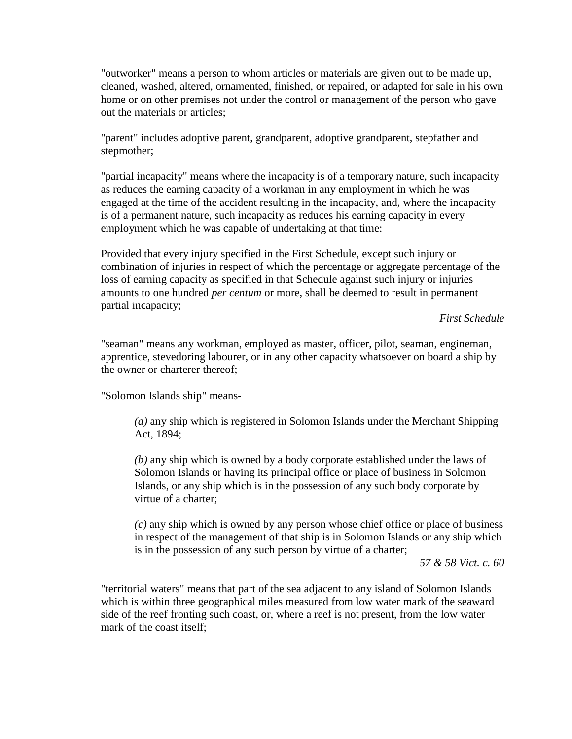"outworker" means a person to whom articles or materials are given out to be made up, cleaned, washed, altered, ornamented, finished, or repaired, or adapted for sale in his own home or on other premises not under the control or management of the person who gave out the materials or articles;

"parent" includes adoptive parent, grandparent, adoptive grandparent, stepfather and stepmother;

"partial incapacity" means where the incapacity is of a temporary nature, such incapacity as reduces the earning capacity of a workman in any employment in which he was engaged at the time of the accident resulting in the incapacity, and, where the incapacity is of a permanent nature, such incapacity as reduces his earning capacity in every employment which he was capable of undertaking at that time:

Provided that every injury specified in the First Schedule, except such injury or combination of injuries in respect of which the percentage or aggregate percentage of the loss of earning capacity as specified in that Schedule against such injury or injuries amounts to one hundred *per centum* or more, shall be deemed to result in permanent partial incapacity;

### *First Schedule*

"seaman" means any workman, employed as master, officer, pilot, seaman, engineman, apprentice, stevedoring labourer, or in any other capacity whatsoever on board a ship by the owner or charterer thereof;

"Solomon Islands ship" means-

*(a)* any ship which is registered in Solomon Islands under the Merchant Shipping Act, 1894;

*(b)* any ship which is owned by a body corporate established under the laws of Solomon Islands or having its principal office or place of business in Solomon Islands, or any ship which is in the possession of any such body corporate by virtue of a charter;

*(c)* any ship which is owned by any person whose chief office or place of business in respect of the management of that ship is in Solomon Islands or any ship which is in the possession of any such person by virtue of a charter;

*57 & 58 Vict. c. 60*

"territorial waters" means that part of the sea adjacent to any island of Solomon Islands which is within three geographical miles measured from low water mark of the seaward side of the reef fronting such coast, or, where a reef is not present, from the low water mark of the coast itself;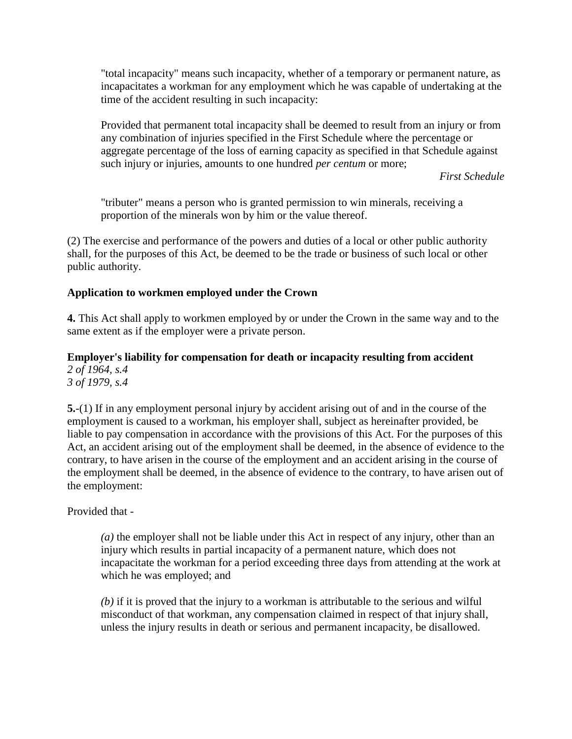"total incapacity" means such incapacity, whether of a temporary or permanent nature, as incapacitates a workman for any employment which he was capable of undertaking at the time of the accident resulting in such incapacity:

Provided that permanent total incapacity shall be deemed to result from an injury or from any combination of injuries specified in the First Schedule where the percentage or aggregate percentage of the loss of earning capacity as specified in that Schedule against such injury or injuries, amounts to one hundred *per centum* or more;

*First Schedule*

"tributer" means a person who is granted permission to win minerals, receiving a proportion of the minerals won by him or the value thereof.

(2) The exercise and performance of the powers and duties of a local or other public authority shall, for the purposes of this Act, be deemed to be the trade or business of such local or other public authority.

### **Application to workmen employed under the Crown**

**4.** This Act shall apply to workmen employed by or under the Crown in the same way and to the same extent as if the employer were a private person.

**Employer's liability for compensation for death or incapacity resulting from accident** *2 of 1964, s.4 3 of 1979, s.4*

**5.**-(1) If in any employment personal injury by accident arising out of and in the course of the employment is caused to a workman, his employer shall, subject as hereinafter provided, be liable to pay compensation in accordance with the provisions of this Act. For the purposes of this Act, an accident arising out of the employment shall be deemed, in the absence of evidence to the contrary, to have arisen in the course of the employment and an accident arising in the course of the employment shall be deemed, in the absence of evidence to the contrary, to have arisen out of the employment:

Provided that -

*(a)* the employer shall not be liable under this Act in respect of any injury, other than an injury which results in partial incapacity of a permanent nature, which does not incapacitate the workman for a period exceeding three days from attending at the work at which he was employed; and

*(b)* if it is proved that the injury to a workman is attributable to the serious and wilful misconduct of that workman, any compensation claimed in respect of that injury shall, unless the injury results in death or serious and permanent incapacity, be disallowed.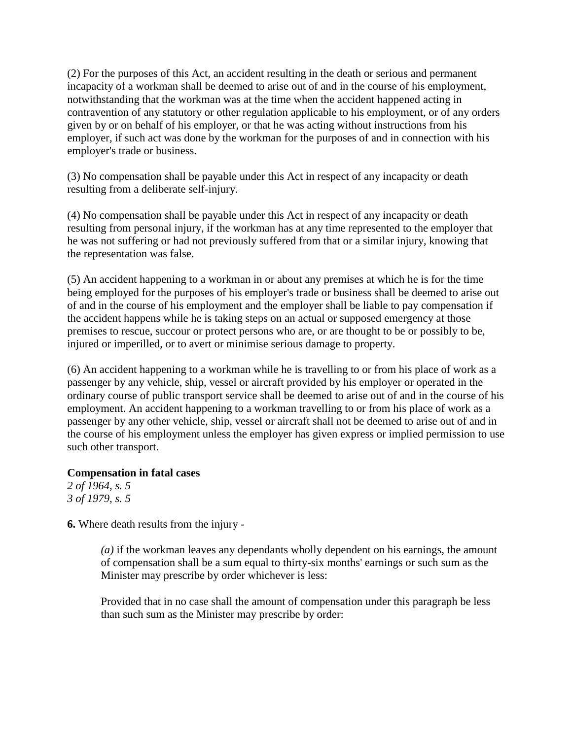(2) For the purposes of this Act, an accident resulting in the death or serious and permanent incapacity of a workman shall be deemed to arise out of and in the course of his employment, notwithstanding that the workman was at the time when the accident happened acting in contravention of any statutory or other regulation applicable to his employment, or of any orders given by or on behalf of his employer, or that he was acting without instructions from his employer, if such act was done by the workman for the purposes of and in connection with his employer's trade or business.

(3) No compensation shall be payable under this Act in respect of any incapacity or death resulting from a deliberate self-injury.

(4) No compensation shall be payable under this Act in respect of any incapacity or death resulting from personal injury, if the workman has at any time represented to the employer that he was not suffering or had not previously suffered from that or a similar injury, knowing that the representation was false.

(5) An accident happening to a workman in or about any premises at which he is for the time being employed for the purposes of his employer's trade or business shall be deemed to arise out of and in the course of his employment and the employer shall be liable to pay compensation if the accident happens while he is taking steps on an actual or supposed emergency at those premises to rescue, succour or protect persons who are, or are thought to be or possibly to be, injured or imperilled, or to avert or minimise serious damage to property.

(6) An accident happening to a workman while he is travelling to or from his place of work as a passenger by any vehicle, ship, vessel or aircraft provided by his employer or operated in the ordinary course of public transport service shall be deemed to arise out of and in the course of his employment. An accident happening to a workman travelling to or from his place of work as a passenger by any other vehicle, ship, vessel or aircraft shall not be deemed to arise out of and in the course of his employment unless the employer has given express or implied permission to use such other transport.

### **Compensation in fatal cases**

*2 of 1964, s. 5 3 of 1979, s. 5*

**6.** Where death results from the injury -

*(a)* if the workman leaves any dependants wholly dependent on his earnings, the amount of compensation shall be a sum equal to thirty-six months' earnings or such sum as the Minister may prescribe by order whichever is less:

Provided that in no case shall the amount of compensation under this paragraph be less than such sum as the Minister may prescribe by order: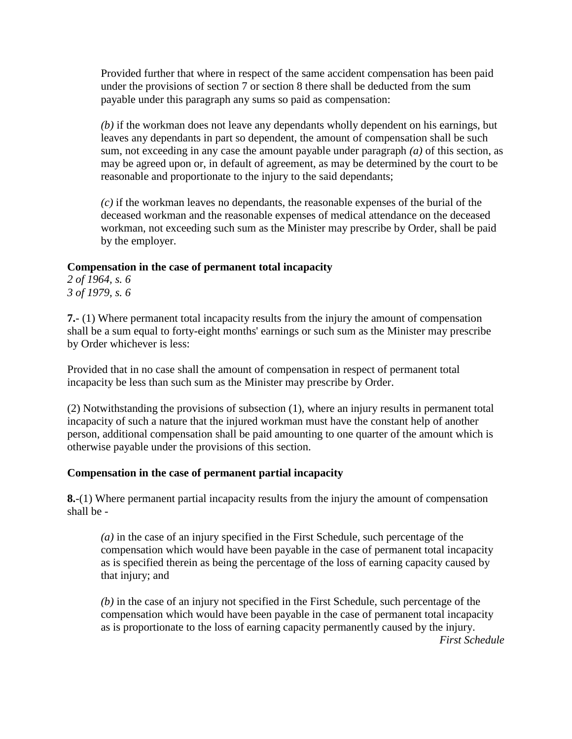Provided further that where in respect of the same accident compensation has been paid under the provisions of section 7 or section 8 there shall be deducted from the sum payable under this paragraph any sums so paid as compensation:

*(b)* if the workman does not leave any dependants wholly dependent on his earnings, but leaves any dependants in part so dependent, the amount of compensation shall be such sum, not exceeding in any case the amount payable under paragraph *(a)* of this section, as may be agreed upon or, in default of agreement, as may be determined by the court to be reasonable and proportionate to the injury to the said dependants;

*(c)* if the workman leaves no dependants, the reasonable expenses of the burial of the deceased workman and the reasonable expenses of medical attendance on the deceased workman, not exceeding such sum as the Minister may prescribe by Order, shall be paid by the employer.

### **Compensation in the case of permanent total incapacity**

*2 of 1964, s. 6 3 of 1979, s. 6*

**7.**- (1) Where permanent total incapacity results from the injury the amount of compensation shall be a sum equal to forty-eight months' earnings or such sum as the Minister may prescribe by Order whichever is less:

Provided that in no case shall the amount of compensation in respect of permanent total incapacity be less than such sum as the Minister may prescribe by Order.

(2) Notwithstanding the provisions of subsection (1), where an injury results in permanent total incapacity of such a nature that the injured workman must have the constant help of another person, additional compensation shall be paid amounting to one quarter of the amount which is otherwise payable under the provisions of this section.

## **Compensation in the case of permanent partial incapacity**

**8.**-(1) Where permanent partial incapacity results from the injury the amount of compensation shall be -

*(a)* in the case of an injury specified in the First Schedule, such percentage of the compensation which would have been payable in the case of permanent total incapacity as is specified therein as being the percentage of the loss of earning capacity caused by that injury; and

*(b)* in the case of an injury not specified in the First Schedule, such percentage of the compensation which would have been payable in the case of permanent total incapacity as is proportionate to the loss of earning capacity permanently caused by the injury.

*First Schedule*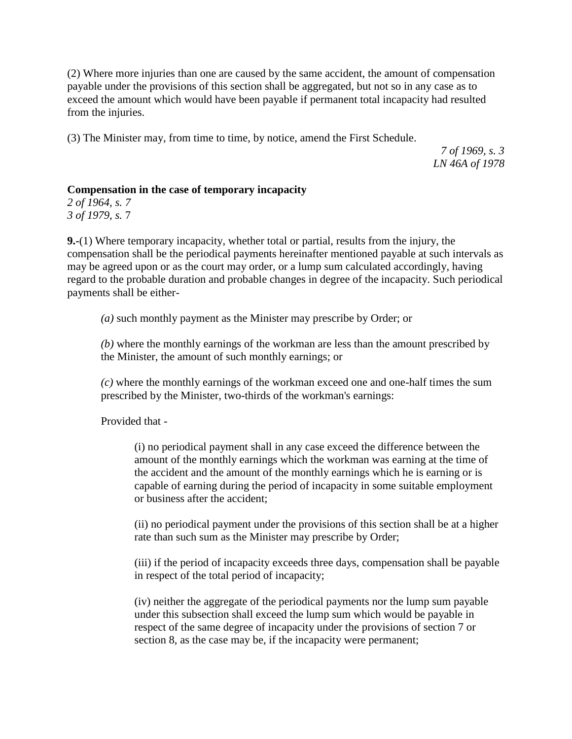(2) Where more injuries than one are caused by the same accident, the amount of compensation payable under the provisions of this section shall be aggregated, but not so in any case as to exceed the amount which would have been payable if permanent total incapacity had resulted from the injuries.

(3) The Minister may, from time to time, by notice, amend the First Schedule.

*7 of 1969, s. 3 LN 46A of 1978*

### **Compensation in the case of temporary incapacity**

*2 of 1964, s. 7 3 of 1979, s.* 7

**9.-**(1) Where temporary incapacity, whether total or partial, results from the injury, the compensation shall be the periodical payments hereinafter mentioned payable at such intervals as may be agreed upon or as the court may order, or a lump sum calculated accordingly, having regard to the probable duration and probable changes in degree of the incapacity. Such periodical payments shall be either-

*(a)* such monthly payment as the Minister may prescribe by Order; or

*(b)* where the monthly earnings of the workman are less than the amount prescribed by the Minister, the amount of such monthly earnings; or

*(c)* where the monthly earnings of the workman exceed one and one-half times the sum prescribed by the Minister, two-thirds of the workman's earnings:

Provided that -

(i) no periodical payment shall in any case exceed the difference between the amount of the monthly earnings which the workman was earning at the time of the accident and the amount of the monthly earnings which he is earning or is capable of earning during the period of incapacity in some suitable employment or business after the accident;

(ii) no periodical payment under the provisions of this section shall be at a higher rate than such sum as the Minister may prescribe by Order;

(iii) if the period of incapacity exceeds three days, compensation shall be payable in respect of the total period of incapacity;

(iv) neither the aggregate of the periodical payments nor the lump sum payable under this subsection shall exceed the lump sum which would be payable in respect of the same degree of incapacity under the provisions of section 7 or section 8, as the case may be, if the incapacity were permanent;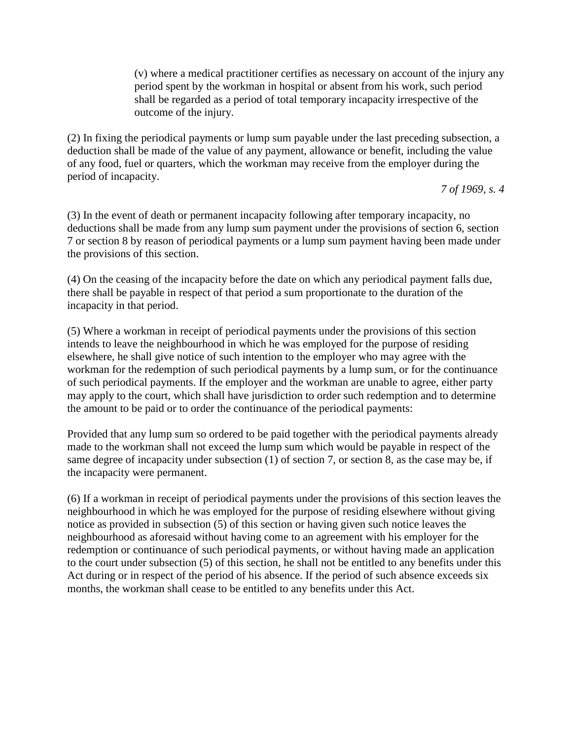(v) where a medical practitioner certifies as necessary on account of the injury any period spent by the workman in hospital or absent from his work, such period shall be regarded as a period of total temporary incapacity irrespective of the outcome of the injury.

(2) In fixing the periodical payments or lump sum payable under the last preceding subsection, a deduction shall be made of the value of any payment, allowance or benefit, including the value of any food, fuel or quarters, which the workman may receive from the employer during the period of incapacity.

*7 of 1969, s. 4*

(3) In the event of death or permanent incapacity following after temporary incapacity, no deductions shall be made from any lump sum payment under the provisions of section 6, section 7 or section 8 by reason of periodical payments or a lump sum payment having been made under the provisions of this section.

(4) On the ceasing of the incapacity before the date on which any periodical payment falls due, there shall be payable in respect of that period a sum proportionate to the duration of the incapacity in that period.

(5) Where a workman in receipt of periodical payments under the provisions of this section intends to leave the neighbourhood in which he was employed for the purpose of residing elsewhere, he shall give notice of such intention to the employer who may agree with the workman for the redemption of such periodical payments by a lump sum, or for the continuance of such periodical payments. If the employer and the workman are unable to agree, either party may apply to the court, which shall have jurisdiction to order such redemption and to determine the amount to be paid or to order the continuance of the periodical payments:

Provided that any lump sum so ordered to be paid together with the periodical payments already made to the workman shall not exceed the lump sum which would be payable in respect of the same degree of incapacity under subsection (1) of section 7, or section 8, as the case may be, if the incapacity were permanent.

(6) If a workman in receipt of periodical payments under the provisions of this section leaves the neighbourhood in which he was employed for the purpose of residing elsewhere without giving notice as provided in subsection (5) of this section or having given such notice leaves the neighbourhood as aforesaid without having come to an agreement with his employer for the redemption or continuance of such periodical payments, or without having made an application to the court under subsection (5) of this section, he shall not be entitled to any benefits under this Act during or in respect of the period of his absence. If the period of such absence exceeds six months, the workman shall cease to be entitled to any benefits under this Act.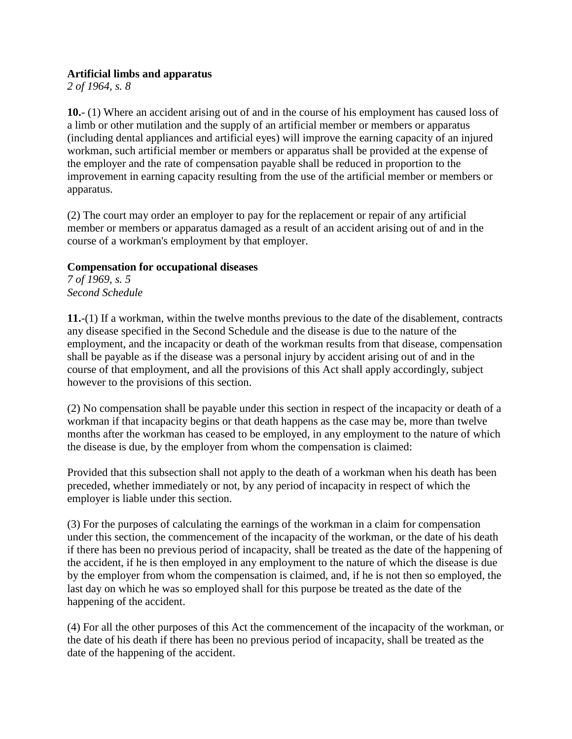### **Artificial limbs and apparatus**

*2 of 1964, s. 8*

**10.**- (1) Where an accident arising out of and in the course of his employment has caused loss of a limb or other mutilation and the supply of an artificial member or members or apparatus (including dental appliances and artificial eyes) will improve the earning capacity of an injured workman, such artificial member or members or apparatus shall be provided at the expense of the employer and the rate of compensation payable shall be reduced in proportion to the improvement in earning capacity resulting from the use of the artificial member or members or apparatus.

(2) The court may order an employer to pay for the replacement or repair of any artificial member or members or apparatus damaged as a result of an accident arising out of and in the course of a workman's employment by that employer.

### **Compensation for occupational diseases**

*7 of 1969, s. 5 Second Schedule*

**11.**-(1) If a workman, within the twelve months previous to the date of the disablement, contracts any disease specified in the Second Schedule and the disease is due to the nature of the employment, and the incapacity or death of the workman results from that disease, compensation shall be payable as if the disease was a personal injury by accident arising out of and in the course of that employment, and all the provisions of this Act shall apply accordingly, subject however to the provisions of this section.

(2) No compensation shall be payable under this section in respect of the incapacity or death of a workman if that incapacity begins or that death happens as the case may be, more than twelve months after the workman has ceased to be employed, in any employment to the nature of which the disease is due, by the employer from whom the compensation is claimed:

Provided that this subsection shall not apply to the death of a workman when his death has been preceded, whether immediately or not, by any period of incapacity in respect of which the employer is liable under this section.

(3) For the purposes of calculating the earnings of the workman in a claim for compensation under this section, the commencement of the incapacity of the workman, or the date of his death if there has been no previous period of incapacity, shall be treated as the date of the happening of the accident, if he is then employed in any employment to the nature of which the disease is due by the employer from whom the compensation is claimed, and, if he is not then so employed, the last day on which he was so employed shall for this purpose be treated as the date of the happening of the accident.

(4) For all the other purposes of this Act the commencement of the incapacity of the workman, or the date of his death if there has been no previous period of incapacity, shall be treated as the date of the happening of the accident.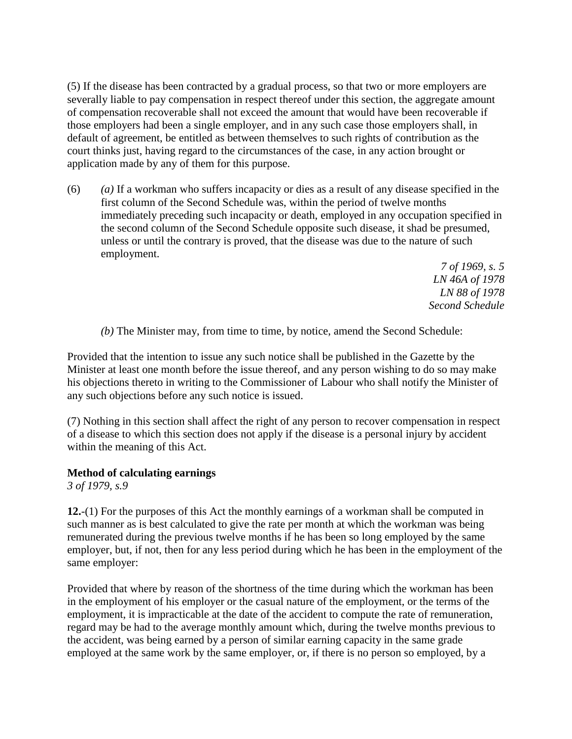(5) If the disease has been contracted by a gradual process, so that two or more employers are severally liable to pay compensation in respect thereof under this section, the aggregate amount of compensation recoverable shall not exceed the amount that would have been recoverable if those employers had been a single employer, and in any such case those employers shall, in default of agreement, be entitled as between themselves to such rights of contribution as the court thinks just, having regard to the circumstances of the case, in any action brought or application made by any of them for this purpose.

(6) *(a)* If a workman who suffers incapacity or dies as a result of any disease specified in the first column of the Second Schedule was, within the period of twelve months immediately preceding such incapacity or death, employed in any occupation specified in the second column of the Second Schedule opposite such disease, it shad be presumed, unless or until the contrary is proved, that the disease was due to the nature of such employment.

> *7 of 1969, s. 5 LN 46A of 1978 LN 88 of 1978 Second Schedule*

*(b)* The Minister may, from time to time, by notice, amend the Second Schedule:

Provided that the intention to issue any such notice shall be published in the Gazette by the Minister at least one month before the issue thereof, and any person wishing to do so may make his objections thereto in writing to the Commissioner of Labour who shall notify the Minister of any such objections before any such notice is issued.

(7) Nothing in this section shall affect the right of any person to recover compensation in respect of a disease to which this section does not apply if the disease is a personal injury by accident within the meaning of this Act.

### **Method of calculating earnings**

*3 of 1979, s.9*

**12.**-(1) For the purposes of this Act the monthly earnings of a workman shall be computed in such manner as is best calculated to give the rate per month at which the workman was being remunerated during the previous twelve months if he has been so long employed by the same employer, but, if not, then for any less period during which he has been in the employment of the same employer:

Provided that where by reason of the shortness of the time during which the workman has been in the employment of his employer or the casual nature of the employment, or the terms of the employment, it is impracticable at the date of the accident to compute the rate of remuneration, regard may be had to the average monthly amount which, during the twelve months previous to the accident, was being earned by a person of similar earning capacity in the same grade employed at the same work by the same employer, or, if there is no person so employed, by a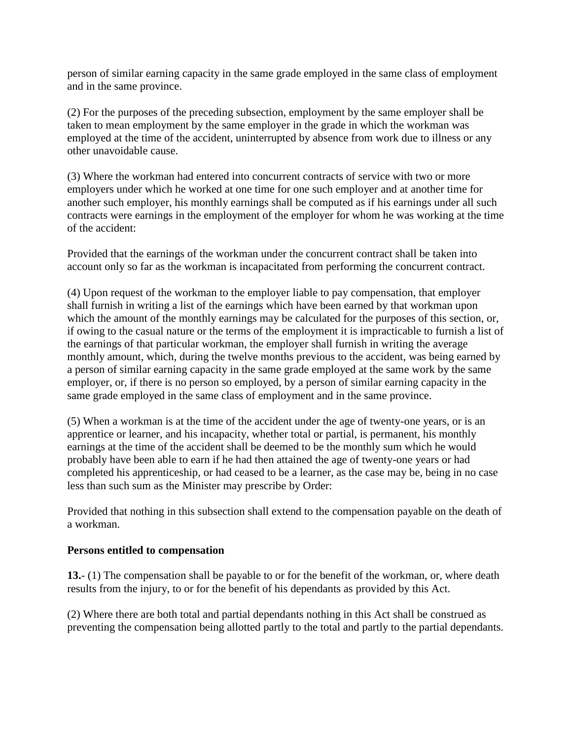person of similar earning capacity in the same grade employed in the same class of employment and in the same province.

(2) For the purposes of the preceding subsection, employment by the same employer shall be taken to mean employment by the same employer in the grade in which the workman was employed at the time of the accident, uninterrupted by absence from work due to illness or any other unavoidable cause.

(3) Where the workman had entered into concurrent contracts of service with two or more employers under which he worked at one time for one such employer and at another time for another such employer, his monthly earnings shall be computed as if his earnings under all such contracts were earnings in the employment of the employer for whom he was working at the time of the accident:

Provided that the earnings of the workman under the concurrent contract shall be taken into account only so far as the workman is incapacitated from performing the concurrent contract.

(4) Upon request of the workman to the employer liable to pay compensation, that employer shall furnish in writing a list of the earnings which have been earned by that workman upon which the amount of the monthly earnings may be calculated for the purposes of this section, or, if owing to the casual nature or the terms of the employment it is impracticable to furnish a list of the earnings of that particular workman, the employer shall furnish in writing the average monthly amount, which, during the twelve months previous to the accident, was being earned by a person of similar earning capacity in the same grade employed at the same work by the same employer, or, if there is no person so employed, by a person of similar earning capacity in the same grade employed in the same class of employment and in the same province.

(5) When a workman is at the time of the accident under the age of twenty-one years, or is an apprentice or learner, and his incapacity, whether total or partial, is permanent, his monthly earnings at the time of the accident shall be deemed to be the monthly sum which he would probably have been able to earn if he had then attained the age of twenty-one years or had completed his apprenticeship, or had ceased to be a learner, as the case may be, being in no case less than such sum as the Minister may prescribe by Order:

Provided that nothing in this subsection shall extend to the compensation payable on the death of a workman.

## **Persons entitled to compensation**

**13.**- (1) The compensation shall be payable to or for the benefit of the workman, or, where death results from the injury, to or for the benefit of his dependants as provided by this Act.

(2) Where there are both total and partial dependants nothing in this Act shall be construed as preventing the compensation being allotted partly to the total and partly to the partial dependants.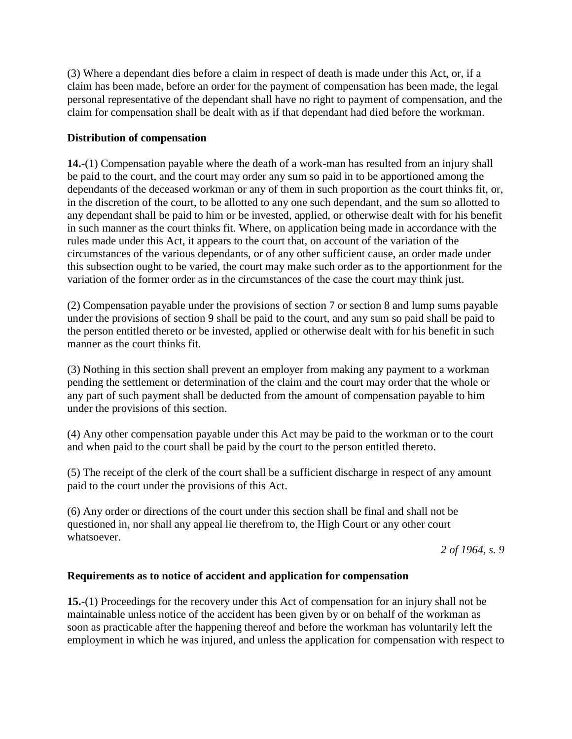(3) Where a dependant dies before a claim in respect of death is made under this Act, or, if a claim has been made, before an order for the payment of compensation has been made, the legal personal representative of the dependant shall have no right to payment of compensation, and the claim for compensation shall be dealt with as if that dependant had died before the workman.

## **Distribution of compensation**

**14.**-(1) Compensation payable where the death of a work-man has resulted from an injury shall be paid to the court, and the court may order any sum so paid in to be apportioned among the dependants of the deceased workman or any of them in such proportion as the court thinks fit, or, in the discretion of the court, to be allotted to any one such dependant, and the sum so allotted to any dependant shall be paid to him or be invested, applied, or otherwise dealt with for his benefit in such manner as the court thinks fit. Where, on application being made in accordance with the rules made under this Act, it appears to the court that, on account of the variation of the circumstances of the various dependants, or of any other sufficient cause, an order made under this subsection ought to be varied, the court may make such order as to the apportionment for the variation of the former order as in the circumstances of the case the court may think just.

(2) Compensation payable under the provisions of section 7 or section 8 and lump sums payable under the provisions of section 9 shall be paid to the court, and any sum so paid shall be paid to the person entitled thereto or be invested, applied or otherwise dealt with for his benefit in such manner as the court thinks fit.

(3) Nothing in this section shall prevent an employer from making any payment to a workman pending the settlement or determination of the claim and the court may order that the whole or any part of such payment shall be deducted from the amount of compensation payable to him under the provisions of this section.

(4) Any other compensation payable under this Act may be paid to the workman or to the court and when paid to the court shall be paid by the court to the person entitled thereto.

(5) The receipt of the clerk of the court shall be a sufficient discharge in respect of any amount paid to the court under the provisions of this Act.

(6) Any order or directions of the court under this section shall be final and shall not be questioned in, nor shall any appeal lie therefrom to, the High Court or any other court whatsoever.

*2 of 1964, s. 9*

## **Requirements as to notice of accident and application for compensation**

**15.**-(1) Proceedings for the recovery under this Act of compensation for an injury shall not be maintainable unless notice of the accident has been given by or on behalf of the workman as soon as practicable after the happening thereof and before the workman has voluntarily left the employment in which he was injured, and unless the application for compensation with respect to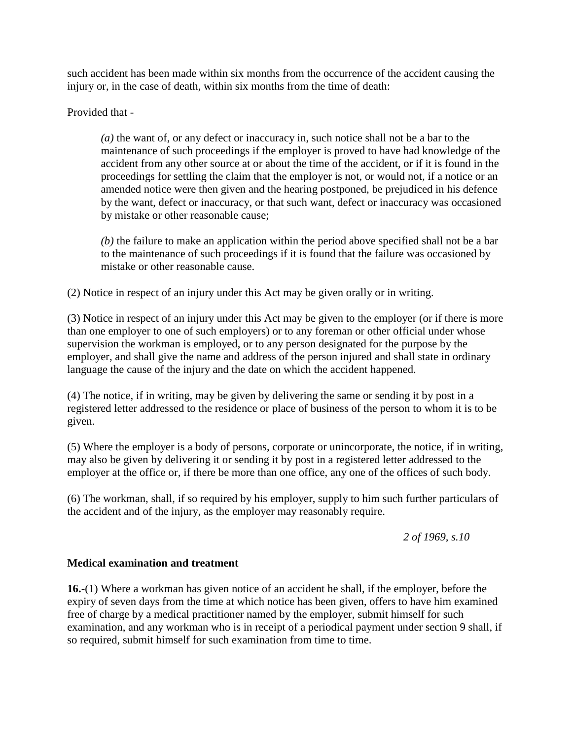such accident has been made within six months from the occurrence of the accident causing the injury or, in the case of death, within six months from the time of death:

Provided that -

*(a)* the want of, or any defect or inaccuracy in, such notice shall not be a bar to the maintenance of such proceedings if the employer is proved to have had knowledge of the accident from any other source at or about the time of the accident, or if it is found in the proceedings for settling the claim that the employer is not, or would not, if a notice or an amended notice were then given and the hearing postponed, be prejudiced in his defence by the want, defect or inaccuracy, or that such want, defect or inaccuracy was occasioned by mistake or other reasonable cause;

*(b)* the failure to make an application within the period above specified shall not be a bar to the maintenance of such proceedings if it is found that the failure was occasioned by mistake or other reasonable cause.

(2) Notice in respect of an injury under this Act may be given orally or in writing.

(3) Notice in respect of an injury under this Act may be given to the employer (or if there is more than one employer to one of such employers) or to any foreman or other official under whose supervision the workman is employed, or to any person designated for the purpose by the employer, and shall give the name and address of the person injured and shall state in ordinary language the cause of the injury and the date on which the accident happened.

(4) The notice, if in writing, may be given by delivering the same or sending it by post in a registered letter addressed to the residence or place of business of the person to whom it is to be given.

(5) Where the employer is a body of persons, corporate or unincorporate, the notice, if in writing, may also be given by delivering it or sending it by post in a registered letter addressed to the employer at the office or, if there be more than one office, any one of the offices of such body.

(6) The workman, shall, if so required by his employer, supply to him such further particulars of the accident and of the injury, as the employer may reasonably require.

*2 of 1969, s.10*

### **Medical examination and treatment**

**16.**-(1) Where a workman has given notice of an accident he shall, if the employer, before the expiry of seven days from the time at which notice has been given, offers to have him examined free of charge by a medical practitioner named by the employer, submit himself for such examination, and any workman who is in receipt of a periodical payment under section 9 shall, if so required, submit himself for such examination from time to time.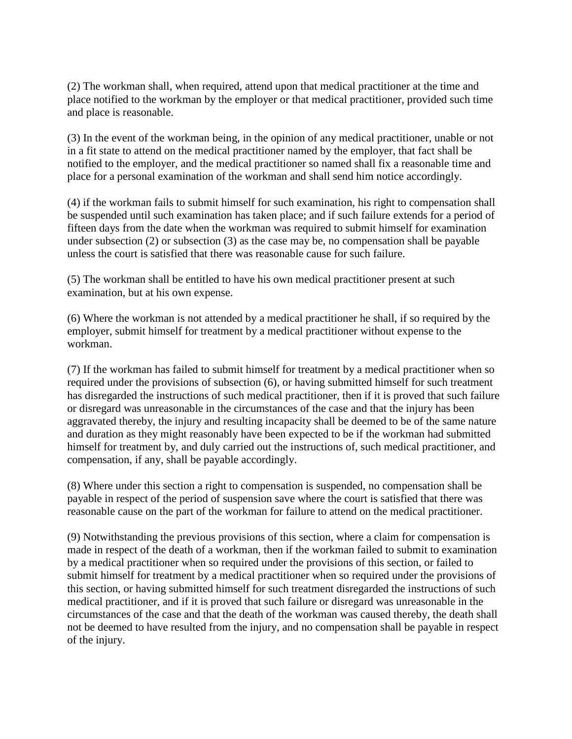(2) The workman shall, when required, attend upon that medical practitioner at the time and place notified to the workman by the employer or that medical practitioner, provided such time and place is reasonable.

(3) In the event of the workman being, in the opinion of any medical practitioner, unable or not in a fit state to attend on the medical practitioner named by the employer, that fact shall be notified to the employer, and the medical practitioner so named shall fix a reasonable time and place for a personal examination of the workman and shall send him notice accordingly.

(4) if the workman fails to submit himself for such examination, his right to compensation shall be suspended until such examination has taken place; and if such failure extends for a period of fifteen days from the date when the workman was required to submit himself for examination under subsection (2) or subsection (3) as the case may be, no compensation shall be payable unless the court is satisfied that there was reasonable cause for such failure.

(5) The workman shall be entitled to have his own medical practitioner present at such examination, but at his own expense.

(6) Where the workman is not attended by a medical practitioner he shall, if so required by the employer, submit himself for treatment by a medical practitioner without expense to the workman.

(7) If the workman has failed to submit himself for treatment by a medical practitioner when so required under the provisions of subsection (6), or having submitted himself for such treatment has disregarded the instructions of such medical practitioner, then if it is proved that such failure or disregard was unreasonable in the circumstances of the case and that the injury has been aggravated thereby, the injury and resulting incapacity shall be deemed to be of the same nature and duration as they might reasonably have been expected to be if the workman had submitted himself for treatment by, and duly carried out the instructions of, such medical practitioner, and compensation, if any, shall be payable accordingly.

(8) Where under this section a right to compensation is suspended, no compensation shall be payable in respect of the period of suspension save where the court is satisfied that there was reasonable cause on the part of the workman for failure to attend on the medical practitioner.

(9) Notwithstanding the previous provisions of this section, where a claim for compensation is made in respect of the death of a workman, then if the workman failed to submit to examination by a medical practitioner when so required under the provisions of this section, or failed to submit himself for treatment by a medical practitioner when so required under the provisions of this section, or having submitted himself for such treatment disregarded the instructions of such medical practitioner, and if it is proved that such failure or disregard was unreasonable in the circumstances of the case and that the death of the workman was caused thereby, the death shall not be deemed to have resulted from the injury, and no compensation shall be payable in respect of the injury.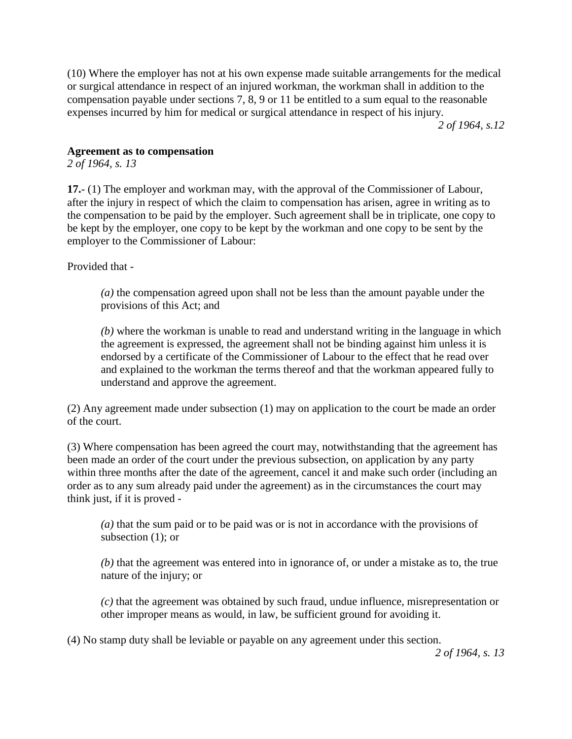(10) Where the employer has not at his own expense made suitable arrangements for the medical or surgical attendance in respect of an injured workman, the workman shall in addition to the compensation payable under sections 7, 8, 9 or 11 be entitled to a sum equal to the reasonable expenses incurred by him for medical or surgical attendance in respect of his injury.

*2 of 1964, s.12*

### **Agreement as to compensation**

*2 of 1964, s. 13*

**17.**- (1) The employer and workman may, with the approval of the Commissioner of Labour, after the injury in respect of which the claim to compensation has arisen, agree in writing as to the compensation to be paid by the employer. Such agreement shall be in triplicate, one copy to be kept by the employer, one copy to be kept by the workman and one copy to be sent by the employer to the Commissioner of Labour:

Provided that -

*(a)* the compensation agreed upon shall not be less than the amount payable under the provisions of this Act; and

*(b)* where the workman is unable to read and understand writing in the language in which the agreement is expressed, the agreement shall not be binding against him unless it is endorsed by a certificate of the Commissioner of Labour to the effect that he read over and explained to the workman the terms thereof and that the workman appeared fully to understand and approve the agreement.

(2) Any agreement made under subsection (1) may on application to the court be made an order of the court.

(3) Where compensation has been agreed the court may, notwithstanding that the agreement has been made an order of the court under the previous subsection, on application by any party within three months after the date of the agreement, cancel it and make such order (including an order as to any sum already paid under the agreement) as in the circumstances the court may think just, if it is proved -

*(a)* that the sum paid or to be paid was or is not in accordance with the provisions of subsection (1); or

*(b)* that the agreement was entered into in ignorance of, or under a mistake as to, the true nature of the injury; or

*(c)* that the agreement was obtained by such fraud, undue influence, misrepresentation or other improper means as would, in law, be sufficient ground for avoiding it.

(4) No stamp duty shall be leviable or payable on any agreement under this section.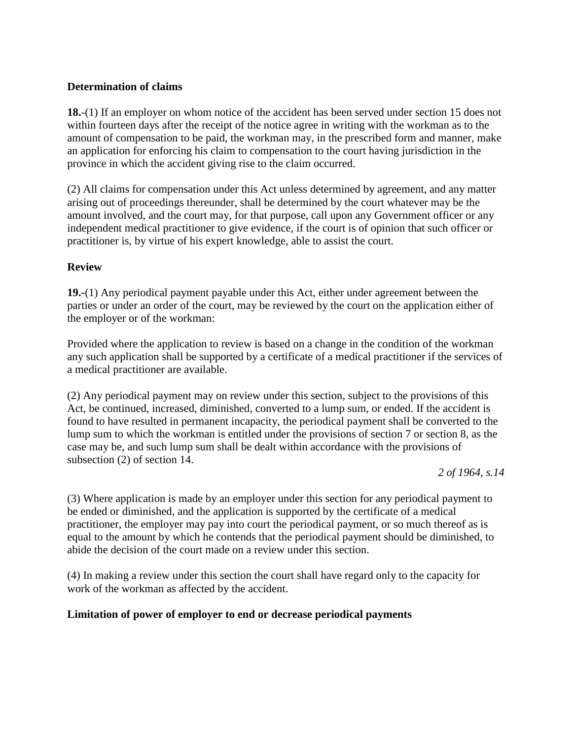### **Determination of claims**

**18.**-(1) If an employer on whom notice of the accident has been served under section 15 does not within fourteen days after the receipt of the notice agree in writing with the workman as to the amount of compensation to be paid, the workman may, in the prescribed form and manner, make an application for enforcing his claim to compensation to the court having jurisdiction in the province in which the accident giving rise to the claim occurred.

(2) All claims for compensation under this Act unless determined by agreement, and any matter arising out of proceedings thereunder, shall be determined by the court whatever may be the amount involved, and the court may, for that purpose, call upon any Government officer or any independent medical practitioner to give evidence, if the court is of opinion that such officer or practitioner is, by virtue of his expert knowledge, able to assist the court.

### **Review**

**19.-**(1) Any periodical payment payable under this Act, either under agreement between the parties or under an order of the court, may be reviewed by the court on the application either of the employer or of the workman:

Provided where the application to review is based on a change in the condition of the workman any such application shall be supported by a certificate of a medical practitioner if the services of a medical practitioner are available.

(2) Any periodical payment may on review under this section, subject to the provisions of this Act, be continued, increased, diminished, converted to a lump sum, or ended. If the accident is found to have resulted in permanent incapacity, the periodical payment shall be converted to the lump sum to which the workman is entitled under the provisions of section 7 or section 8, as the case may be, and such lump sum shall be dealt within accordance with the provisions of subsection (2) of section 14.

*2 of 1964, s.14*

(3) Where application is made by an employer under this section for any periodical payment to be ended or diminished, and the application is supported by the certificate of a medical practitioner, the employer may pay into court the periodical payment, or so much thereof as is equal to the amount by which he contends that the periodical payment should be diminished, to abide the decision of the court made on a review under this section.

(4) In making a review under this section the court shall have regard only to the capacity for work of the workman as affected by the accident.

## **Limitation of power of employer to end or decrease periodical payments**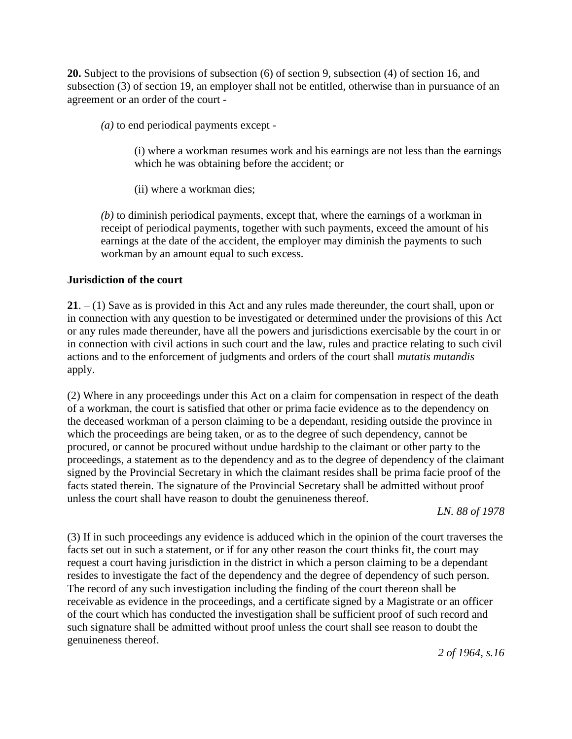**20.** Subject to the provisions of subsection (6) of section 9, subsection (4) of section 16, and subsection (3) of section 19, an employer shall not be entitled, otherwise than in pursuance of an agreement or an order of the court -

*(a)* to end periodical payments except -

(i) where a workman resumes work and his earnings are not less than the earnings which he was obtaining before the accident; or

(ii) where a workman dies;

*(b)* to diminish periodical payments, except that, where the earnings of a workman in receipt of periodical payments, together with such payments, exceed the amount of his earnings at the date of the accident, the employer may diminish the payments to such workman by an amount equal to such excess.

### **Jurisdiction of the court**

**21**. – (1) Save as is provided in this Act and any rules made thereunder, the court shall, upon or in connection with any question to be investigated or determined under the provisions of this Act or any rules made thereunder, have all the powers and jurisdictions exercisable by the court in or in connection with civil actions in such court and the law, rules and practice relating to such civil actions and to the enforcement of judgments and orders of the court shall *mutatis mutandis*  apply.

(2) Where in any proceedings under this Act on a claim for compensation in respect of the death of a workman, the court is satisfied that other or prima facie evidence as to the dependency on the deceased workman of a person claiming to be a dependant, residing outside the province in which the proceedings are being taken, or as to the degree of such dependency, cannot be procured, or cannot be procured without undue hardship to the claimant or other party to the proceedings, a statement as to the dependency and as to the degree of dependency of the claimant signed by the Provincial Secretary in which the claimant resides shall be prima facie proof of the facts stated therein. The signature of the Provincial Secretary shall be admitted without proof unless the court shall have reason to doubt the genuineness thereof.

*LN. 88 of 1978*

(3) If in such proceedings any evidence is adduced which in the opinion of the court traverses the facts set out in such a statement, or if for any other reason the court thinks fit, the court may request a court having jurisdiction in the district in which a person claiming to be a dependant resides to investigate the fact of the dependency and the degree of dependency of such person. The record of any such investigation including the finding of the court thereon shall be receivable as evidence in the proceedings, and a certificate signed by a Magistrate or an officer of the court which has conducted the investigation shall be sufficient proof of such record and such signature shall be admitted without proof unless the court shall see reason to doubt the genuineness thereof.

*2 of 1964, s.16*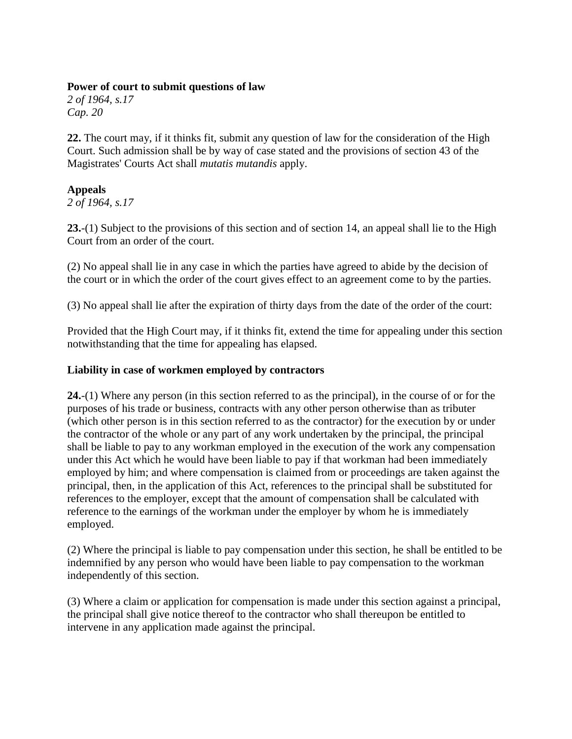### **Power of court to submit questions of law**

*2 of 1964, s.17 Cap. 20*

**22.** The court may, if it thinks fit, submit any question of law for the consideration of the High Court. Such admission shall be by way of case stated and the provisions of section 43 of the Magistrates' Courts Act shall *mutatis mutandis* apply.

## **Appeals**

*2 of 1964, s.17*

**23.**-(1) Subject to the provisions of this section and of section 14, an appeal shall lie to the High Court from an order of the court.

(2) No appeal shall lie in any case in which the parties have agreed to abide by the decision of the court or in which the order of the court gives effect to an agreement come to by the parties.

(3) No appeal shall lie after the expiration of thirty days from the date of the order of the court:

Provided that the High Court may, if it thinks fit, extend the time for appealing under this section notwithstanding that the time for appealing has elapsed.

### **Liability in case of workmen employed by contractors**

**24.**-(1) Where any person (in this section referred to as the principal), in the course of or for the purposes of his trade or business, contracts with any other person otherwise than as tributer (which other person is in this section referred to as the contractor) for the execution by or under the contractor of the whole or any part of any work undertaken by the principal, the principal shall be liable to pay to any workman employed in the execution of the work any compensation under this Act which he would have been liable to pay if that workman had been immediately employed by him; and where compensation is claimed from or proceedings are taken against the principal, then, in the application of this Act, references to the principal shall be substituted for references to the employer, except that the amount of compensation shall be calculated with reference to the earnings of the workman under the employer by whom he is immediately employed.

(2) Where the principal is liable to pay compensation under this section, he shall be entitled to be indemnified by any person who would have been liable to pay compensation to the workman independently of this section.

(3) Where a claim or application for compensation is made under this section against a principal, the principal shall give notice thereof to the contractor who shall thereupon be entitled to intervene in any application made against the principal.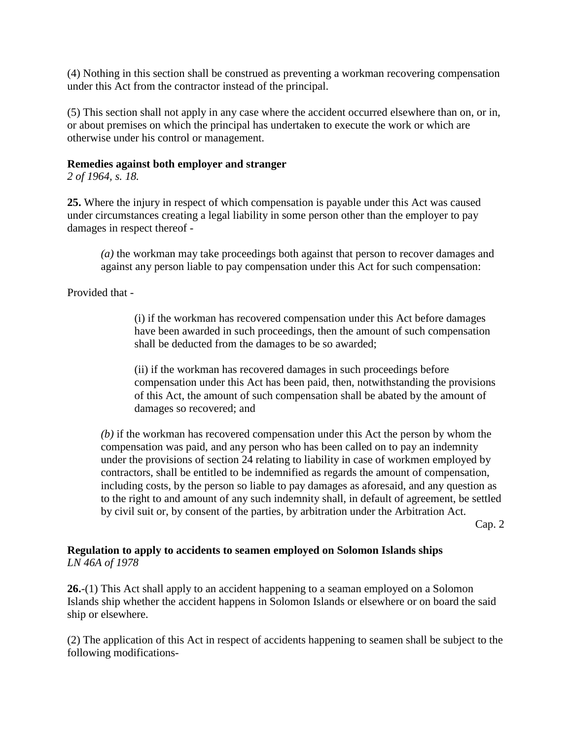(4) Nothing in this section shall be construed as preventing a workman recovering compensation under this Act from the contractor instead of the principal.

(5) This section shall not apply in any case where the accident occurred elsewhere than on, or in, or about premises on which the principal has undertaken to execute the work or which are otherwise under his control or management.

### **Remedies against both employer and stranger**

*2 of 1964, s. 18.*

**25.** Where the injury in respect of which compensation is payable under this Act was caused under circumstances creating a legal liability in some person other than the employer to pay damages in respect thereof -

*(a)* the workman may take proceedings both against that person to recover damages and against any person liable to pay compensation under this Act for such compensation:

Provided that -

(i) if the workman has recovered compensation under this Act before damages have been awarded in such proceedings, then the amount of such compensation shall be deducted from the damages to be so awarded;

(ii) if the workman has recovered damages in such proceedings before compensation under this Act has been paid, then, notwithstanding the provisions of this Act, the amount of such compensation shall be abated by the amount of damages so recovered; and

*(b)* if the workman has recovered compensation under this Act the person by whom the compensation was paid, and any person who has been called on to pay an indemnity under the provisions of section 24 relating to liability in case of workmen employed by contractors, shall be entitled to be indemnified as regards the amount of compensation, including costs, by the person so liable to pay damages as aforesaid, and any question as to the right to and amount of any such indemnity shall, in default of agreement, be settled by civil suit or, by consent of the parties, by arbitration under the Arbitration Act.

Cap. 2

### **Regulation to apply to accidents to seamen employed on Solomon Islands ships** *LN 46A of 1978*

**26.**-(1) This Act shall apply to an accident happening to a seaman employed on a Solomon Islands ship whether the accident happens in Solomon Islands or elsewhere or on board the said ship or elsewhere.

(2) The application of this Act in respect of accidents happening to seamen shall be subject to the following modifications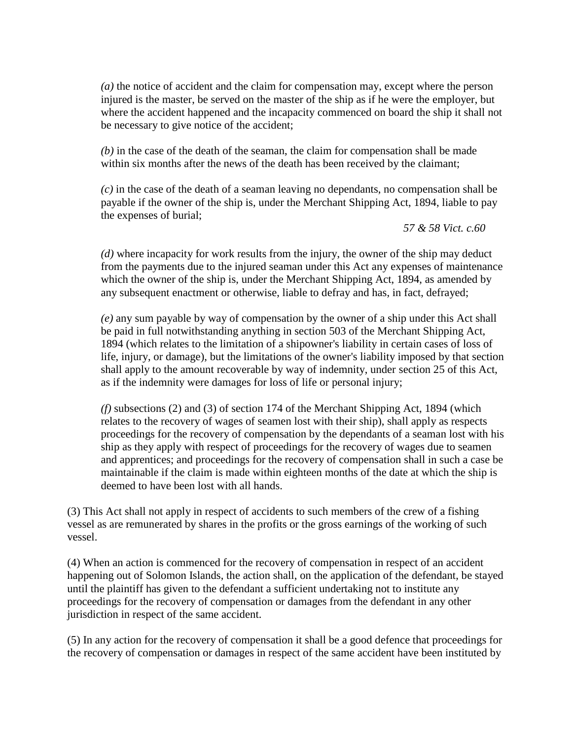*(a)* the notice of accident and the claim for compensation may, except where the person injured is the master, be served on the master of the ship as if he were the employer, but where the accident happened and the incapacity commenced on board the ship it shall not be necessary to give notice of the accident;

*(b)* in the case of the death of the seaman, the claim for compensation shall be made within six months after the news of the death has been received by the claimant:

*(c)* in the case of the death of a seaman leaving no dependants, no compensation shall be payable if the owner of the ship is, under the Merchant Shipping Act, 1894, liable to pay the expenses of burial;

*57 & 58 Vict. c.60*

*(d)* where incapacity for work results from the injury, the owner of the ship may deduct from the payments due to the injured seaman under this Act any expenses of maintenance which the owner of the ship is, under the Merchant Shipping Act, 1894, as amended by any subsequent enactment or otherwise, liable to defray and has, in fact, defrayed;

*(e)* any sum payable by way of compensation by the owner of a ship under this Act shall be paid in full notwithstanding anything in section 503 of the Merchant Shipping Act, 1894 (which relates to the limitation of a shipowner's liability in certain cases of loss of life, injury, or damage), but the limitations of the owner's liability imposed by that section shall apply to the amount recoverable by way of indemnity, under section 25 of this Act, as if the indemnity were damages for loss of life or personal injury;

*(f)* subsections (2) and (3) of section 174 of the Merchant Shipping Act, 1894 (which relates to the recovery of wages of seamen lost with their ship), shall apply as respects proceedings for the recovery of compensation by the dependants of a seaman lost with his ship as they apply with respect of proceedings for the recovery of wages due to seamen and apprentices; and proceedings for the recovery of compensation shall in such a case be maintainable if the claim is made within eighteen months of the date at which the ship is deemed to have been lost with all hands.

(3) This Act shall not apply in respect of accidents to such members of the crew of a fishing vessel as are remunerated by shares in the profits or the gross earnings of the working of such vessel.

(4) When an action is commenced for the recovery of compensation in respect of an accident happening out of Solomon Islands, the action shall, on the application of the defendant, be stayed until the plaintiff has given to the defendant a sufficient undertaking not to institute any proceedings for the recovery of compensation or damages from the defendant in any other jurisdiction in respect of the same accident.

(5) In any action for the recovery of compensation it shall be a good defence that proceedings for the recovery of compensation or damages in respect of the same accident have been instituted by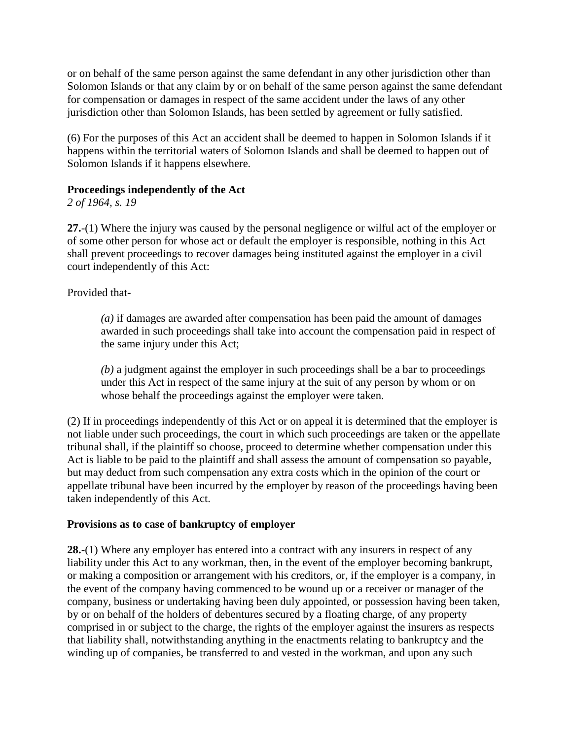or on behalf of the same person against the same defendant in any other jurisdiction other than Solomon Islands or that any claim by or on behalf of the same person against the same defendant for compensation or damages in respect of the same accident under the laws of any other jurisdiction other than Solomon Islands, has been settled by agreement or fully satisfied.

(6) For the purposes of this Act an accident shall be deemed to happen in Solomon Islands if it happens within the territorial waters of Solomon Islands and shall be deemed to happen out of Solomon Islands if it happens elsewhere.

## **Proceedings independently of the Act**

*2 of 1964, s. 19*

**27.**-(1) Where the injury was caused by the personal negligence or wilful act of the employer or of some other person for whose act or default the employer is responsible, nothing in this Act shall prevent proceedings to recover damages being instituted against the employer in a civil court independently of this Act:

Provided that-

*(a)* if damages are awarded after compensation has been paid the amount of damages awarded in such proceedings shall take into account the compensation paid in respect of the same injury under this Act;

*(b)* a judgment against the employer in such proceedings shall be a bar to proceedings under this Act in respect of the same injury at the suit of any person by whom or on whose behalf the proceedings against the employer were taken.

(2) If in proceedings independently of this Act or on appeal it is determined that the employer is not liable under such proceedings, the court in which such proceedings are taken or the appellate tribunal shall, if the plaintiff so choose, proceed to determine whether compensation under this Act is liable to be paid to the plaintiff and shall assess the amount of compensation so payable, but may deduct from such compensation any extra costs which in the opinion of the court or appellate tribunal have been incurred by the employer by reason of the proceedings having been taken independently of this Act.

## **Provisions as to case of bankruptcy of employer**

**28.**-(1) Where any employer has entered into a contract with any insurers in respect of any liability under this Act to any workman, then, in the event of the employer becoming bankrupt, or making a composition or arrangement with his creditors, or, if the employer is a company, in the event of the company having commenced to be wound up or a receiver or manager of the company, business or undertaking having been duly appointed, or possession having been taken, by or on behalf of the holders of debentures secured by a floating charge, of any property comprised in or subject to the charge, the rights of the employer against the insurers as respects that liability shall, notwithstanding anything in the enactments relating to bankruptcy and the winding up of companies, be transferred to and vested in the workman, and upon any such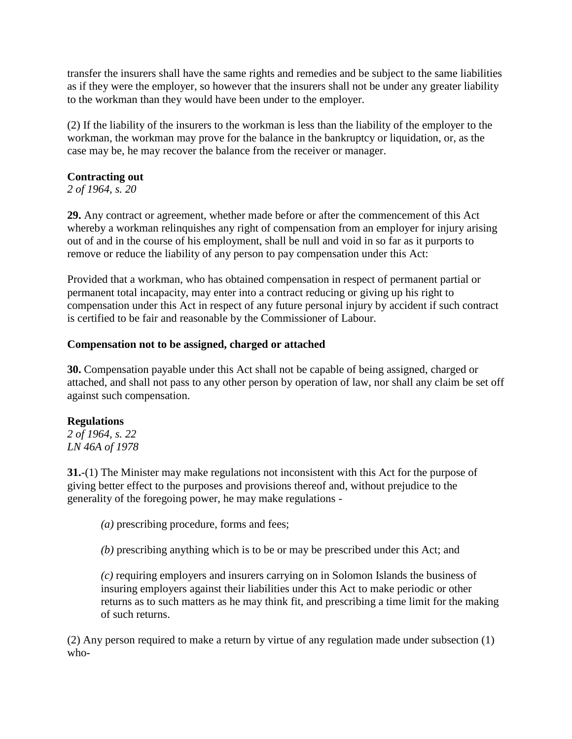transfer the insurers shall have the same rights and remedies and be subject to the same liabilities as if they were the employer, so however that the insurers shall not be under any greater liability to the workman than they would have been under to the employer.

(2) If the liability of the insurers to the workman is less than the liability of the employer to the workman, the workman may prove for the balance in the bankruptcy or liquidation, or, as the case may be, he may recover the balance from the receiver or manager.

## **Contracting out**

*2 of 1964, s. 20*

**29.** Any contract or agreement, whether made before or after the commencement of this Act whereby a workman relinquishes any right of compensation from an employer for injury arising out of and in the course of his employment, shall be null and void in so far as it purports to remove or reduce the liability of any person to pay compensation under this Act:

Provided that a workman, who has obtained compensation in respect of permanent partial or permanent total incapacity, may enter into a contract reducing or giving up his right to compensation under this Act in respect of any future personal injury by accident if such contract is certified to be fair and reasonable by the Commissioner of Labour.

### **Compensation not to be assigned, charged or attached**

**30.** Compensation payable under this Act shall not be capable of being assigned, charged or attached, and shall not pass to any other person by operation of law, nor shall any claim be set off against such compensation.

## **Regulations**

*2 of 1964, s. 22 LN 46A of 1978*

**31.**-(1) The Minister may make regulations not inconsistent with this Act for the purpose of giving better effect to the purposes and provisions thereof and, without prejudice to the generality of the foregoing power, he may make regulations -

*(a)* prescribing procedure, forms and fees;

*(b)* prescribing anything which is to be or may be prescribed under this Act; and

*(c)* requiring employers and insurers carrying on in Solomon Islands the business of insuring employers against their liabilities under this Act to make periodic or other returns as to such matters as he may think fit, and prescribing a time limit for the making of such returns.

(2) Any person required to make a return by virtue of any regulation made under subsection (1) who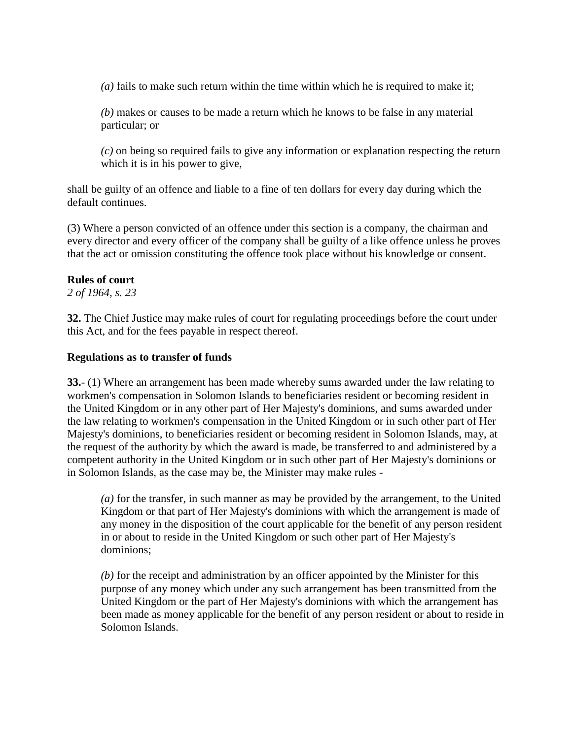*(a)* fails to make such return within the time within which he is required to make it;

*(b)* makes or causes to be made a return which he knows to be false in any material particular; or

*(c)* on being so required fails to give any information or explanation respecting the return which it is in his power to give.

shall be guilty of an offence and liable to a fine of ten dollars for every day during which the default continues.

(3) Where a person convicted of an offence under this section is a company, the chairman and every director and every officer of the company shall be guilty of a like offence unless he proves that the act or omission constituting the offence took place without his knowledge or consent.

### **Rules of court**

*2 of 1964, s. 23*

**32.** The Chief Justice may make rules of court for regulating proceedings before the court under this Act, and for the fees payable in respect thereof.

### **Regulations as to transfer of funds**

**33.**- (1) Where an arrangement has been made whereby sums awarded under the law relating to workmen's compensation in Solomon Islands to beneficiaries resident or becoming resident in the United Kingdom or in any other part of Her Majesty's dominions, and sums awarded under the law relating to workmen's compensation in the United Kingdom or in such other part of Her Majesty's dominions, to beneficiaries resident or becoming resident in Solomon Islands, may, at the request of the authority by which the award is made, be transferred to and administered by a competent authority in the United Kingdom or in such other part of Her Majesty's dominions or in Solomon Islands, as the case may be, the Minister may make rules -

*(a)* for the transfer, in such manner as may be provided by the arrangement, to the United Kingdom or that part of Her Majesty's dominions with which the arrangement is made of any money in the disposition of the court applicable for the benefit of any person resident in or about to reside in the United Kingdom or such other part of Her Majesty's dominions;

*(b)* for the receipt and administration by an officer appointed by the Minister for this purpose of any money which under any such arrangement has been transmitted from the United Kingdom or the part of Her Majesty's dominions with which the arrangement has been made as money applicable for the benefit of any person resident or about to reside in Solomon Islands.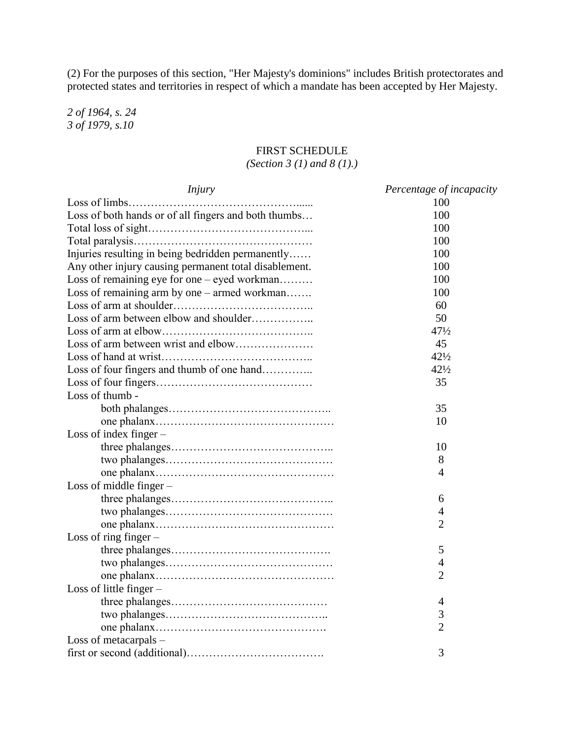(2) For the purposes of this section, "Her Majesty's dominions" includes British protectorates and protected states and territories in respect of which a mandate has been accepted by Her Majesty.

*2 of 1964, s. 24 3 of 1979, s.10*

## FIRST SCHEDULE

### *(Section 3 (1) and 8 (1).)*

| <i>Injury</i>                                         | Percentage of incapacity |  |
|-------------------------------------------------------|--------------------------|--|
| Loss of limbs                                         | 100                      |  |
| Loss of both hands or of all fingers and both thumbs  | 100                      |  |
|                                                       | 100                      |  |
|                                                       | 100                      |  |
| Injuries resulting in being bedridden permanently     | 100                      |  |
| Any other injury causing permanent total disablement. | 100                      |  |
| Loss of remaining eye for one - eyed workman          | 100                      |  |
| Loss of remaining arm by one – armed workman          | 100                      |  |
|                                                       | 60                       |  |
| Loss of arm between elbow and shoulder                | 50                       |  |
|                                                       | $47\frac{1}{2}$          |  |
|                                                       | 45                       |  |
|                                                       | $42\frac{1}{2}$          |  |
| Loss of four fingers and thumb of one hand            | $42\frac{1}{2}$          |  |
|                                                       | 35                       |  |
| Loss of thumb -                                       |                          |  |
|                                                       | 35                       |  |
|                                                       | 10                       |  |
| Loss of index finger $-$                              |                          |  |
|                                                       | 10                       |  |
|                                                       | 8                        |  |
|                                                       | $\overline{4}$           |  |
| Loss of middle finger $-$                             |                          |  |
|                                                       | 6                        |  |
|                                                       | 4                        |  |
|                                                       | $\overline{2}$           |  |
| Loss of ring finger $-$                               |                          |  |
|                                                       | 5                        |  |
|                                                       | $\overline{4}$           |  |
|                                                       | $\overline{2}$           |  |
| Loss of little finger $-$                             |                          |  |
|                                                       | $\overline{4}$           |  |
|                                                       | 3                        |  |
|                                                       | $\overline{2}$           |  |
| Loss of metacarpals -                                 |                          |  |
|                                                       | 3                        |  |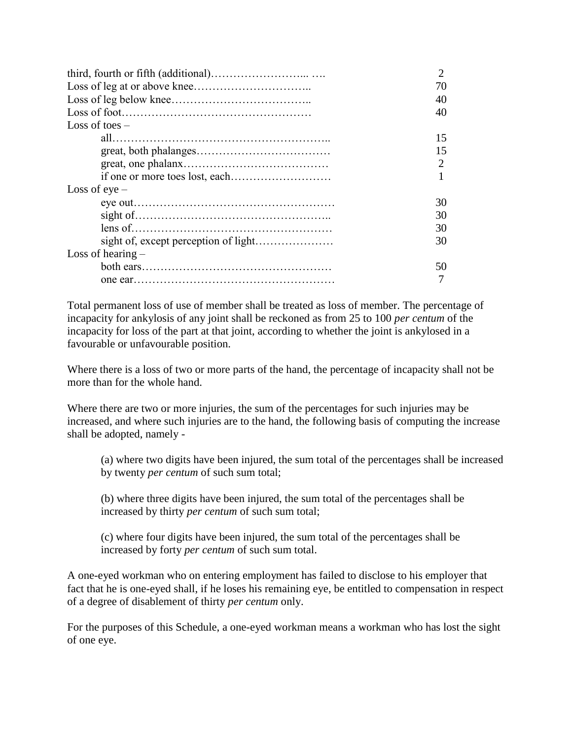|                     | 70 |
|---------------------|----|
|                     | 40 |
|                     | 40 |
| Loss of toes $-$    |    |
|                     | 15 |
|                     | 15 |
|                     |    |
|                     |    |
| Loss of $eye -$     |    |
|                     | 30 |
|                     | 30 |
|                     | 30 |
|                     | 30 |
| Loss of hearing $-$ |    |
|                     | 50 |
|                     |    |

Total permanent loss of use of member shall be treated as loss of member. The percentage of incapacity for ankylosis of any joint shall be reckoned as from 25 to 100 *per centum* of the incapacity for loss of the part at that joint, according to whether the joint is ankylosed in a favourable or unfavourable position.

Where there is a loss of two or more parts of the hand, the percentage of incapacity shall not be more than for the whole hand.

Where there are two or more injuries, the sum of the percentages for such injuries may be increased, and where such injuries are to the hand, the following basis of computing the increase shall be adopted, namely -

(a) where two digits have been injured, the sum total of the percentages shall be increased by twenty *per centum* of such sum total;

(b) where three digits have been injured, the sum total of the percentages shall be increased by thirty *per centum* of such sum total;

(c) where four digits have been injured, the sum total of the percentages shall be increased by forty *per centum* of such sum total.

A one-eyed workman who on entering employment has failed to disclose to his employer that fact that he is one-eyed shall, if he loses his remaining eye, be entitled to compensation in respect of a degree of disablement of thirty *per centum* only.

For the purposes of this Schedule, a one-eyed workman means a workman who has lost the sight of one eye.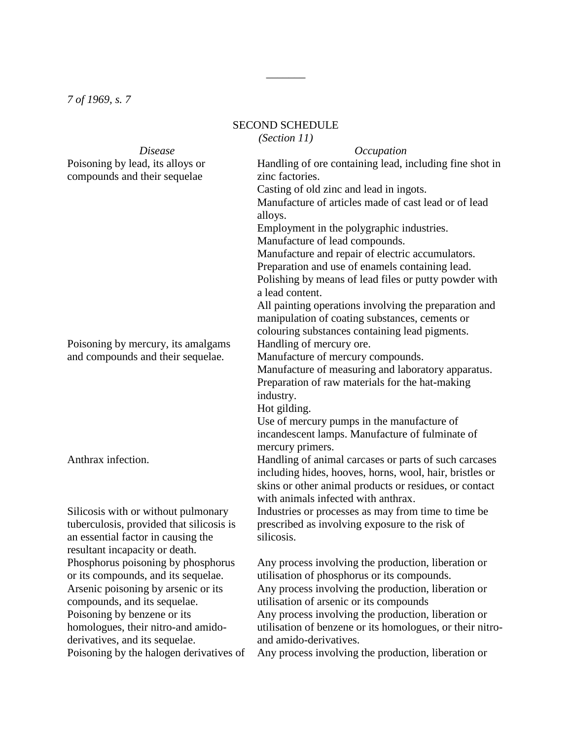*7 of 1969, s. 7*

## SECOND SCHEDULE

 $\overline{\phantom{a}}$ 

*(Section 11)*

| <i>Disease</i>                           | Occupation                                                                                    |
|------------------------------------------|-----------------------------------------------------------------------------------------------|
| Poisoning by lead, its alloys or         | Handling of ore containing lead, including fine shot in                                       |
| compounds and their sequelae             | zinc factories.                                                                               |
|                                          | Casting of old zinc and lead in ingots.                                                       |
|                                          | Manufacture of articles made of cast lead or of lead                                          |
|                                          | alloys.                                                                                       |
|                                          | Employment in the polygraphic industries.                                                     |
|                                          | Manufacture of lead compounds.                                                                |
|                                          | Manufacture and repair of electric accumulators.                                              |
|                                          | Preparation and use of enamels containing lead.                                               |
|                                          | Polishing by means of lead files or putty powder with<br>a lead content.                      |
|                                          | All painting operations involving the preparation and                                         |
|                                          | manipulation of coating substances, cements or                                                |
|                                          | colouring substances containing lead pigments.                                                |
| Poisoning by mercury, its amalgams       | Handling of mercury ore.                                                                      |
| and compounds and their sequelae.        | Manufacture of mercury compounds.                                                             |
|                                          | Manufacture of measuring and laboratory apparatus.                                            |
|                                          | Preparation of raw materials for the hat-making                                               |
|                                          | industry.                                                                                     |
|                                          | Hot gilding.                                                                                  |
|                                          | Use of mercury pumps in the manufacture of                                                    |
|                                          | incandescent lamps. Manufacture of fulminate of                                               |
|                                          | mercury primers.                                                                              |
| Anthrax infection.                       | Handling of animal carcases or parts of such carcases                                         |
|                                          | including hides, hooves, horns, wool, hair, bristles or                                       |
|                                          | skins or other animal products or residues, or contact<br>with animals infected with anthrax. |
| Silicosis with or without pulmonary      | Industries or processes as may from time to time be.                                          |
| tuberculosis, provided that silicosis is | prescribed as involving exposure to the risk of                                               |
| an essential factor in causing the       | silicosis.                                                                                    |
| resultant incapacity or death.           |                                                                                               |
| Phosphorus poisoning by phosphorus       | Any process involving the production, liberation or                                           |
| or its compounds, and its sequelae.      | utilisation of phosphorus or its compounds.                                                   |
| Arsenic poisoning by arsenic or its      | Any process involving the production, liberation or                                           |
| compounds, and its sequelae.             | utilisation of arsenic or its compounds                                                       |
| Poisoning by benzene or its              | Any process involving the production, liberation or                                           |
| homologues, their nitro-and amido-       | utilisation of benzene or its homologues, or their nitro-                                     |
| derivatives, and its sequelae.           | and amido-derivatives.                                                                        |
| Poisoning by the halogen derivatives of  | Any process involving the production, liberation or                                           |
|                                          |                                                                                               |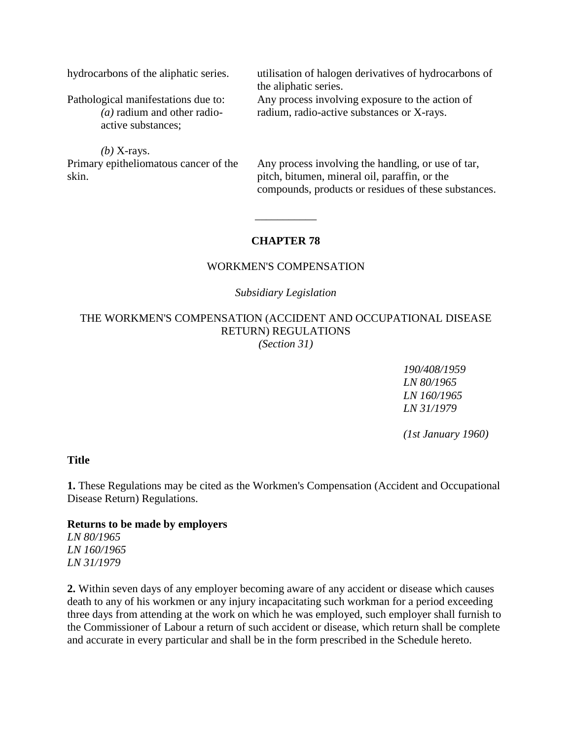hydrocarbons of the aliphatic series. utilisation of halogen derivatives of hydrocarbons of

Pathological manifestations due to: *(a)* radium and other radioactive substances;

Any process involving exposure to the action of radium, radio-active substances or X-rays.

the aliphatic series.

*(b)* X-rays. Primary epitheliomatous cancer of the skin.

Any process involving the handling, or use of tar, pitch, bitumen, mineral oil, paraffin, or the compounds, products or residues of these substances.

## **CHAPTER 78**

\_\_\_\_\_\_\_\_\_\_\_

### WORKMEN'S COMPENSATION

### *Subsidiary Legislation*

THE WORKMEN'S COMPENSATION (ACCIDENT AND OCCUPATIONAL DISEASE RETURN) REGULATIONS *(Section 31)*

*190/408/1959*

*LN 80/1965 LN 160/1965 LN 31/1979*

*(1st January 1960)*

#### **Title**

**1.** These Regulations may be cited as the Workmen's Compensation (Accident and Occupational Disease Return) Regulations.

#### **Returns to be made by employers**

*LN 80/1965 LN 160/1965 LN 31/1979*

**2.** Within seven days of any employer becoming aware of any accident or disease which causes death to any of his workmen or any injury incapacitating such workman for a period exceeding three days from attending at the work on which he was employed, such employer shall furnish to the Commissioner of Labour a return of such accident or disease, which return shall be complete and accurate in every particular and shall be in the form prescribed in the Schedule hereto.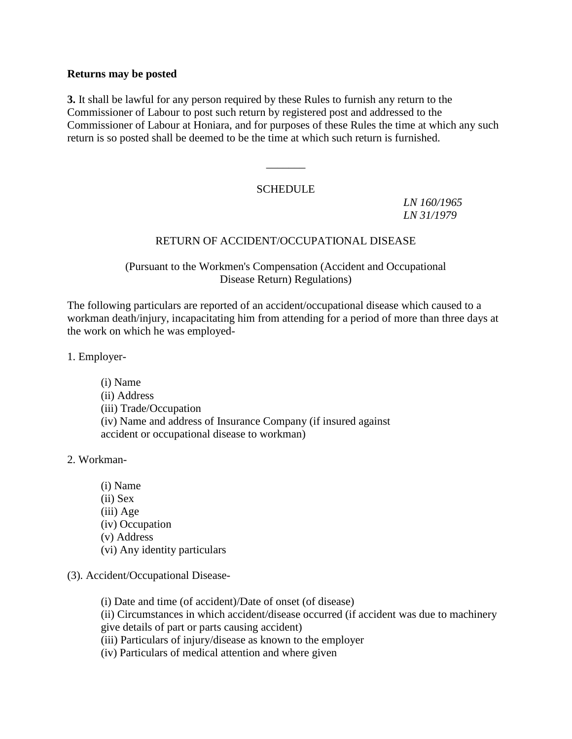### **Returns may be posted**

**3.** It shall be lawful for any person required by these Rules to furnish any return to the Commissioner of Labour to post such return by registered post and addressed to the Commissioner of Labour at Honiara, and for purposes of these Rules the time at which any such return is so posted shall be deemed to be the time at which such return is furnished.

### **SCHEDULE**

 $\overline{\phantom{a}}$ 

*LN 160/1965 LN 31/1979*

## RETURN OF ACCIDENT/OCCUPATIONAL DISEASE

### (Pursuant to the Workmen's Compensation (Accident and Occupational Disease Return) Regulations)

The following particulars are reported of an accident/occupational disease which caused to a workman death/injury, incapacitating him from attending for a period of more than three days at the work on which he was employed-

1. Employer-

(i) Name (ii) Address (iii) Trade/Occupation (iv) Name and address of Insurance Company (if insured against accident or occupational disease to workman)

2. Workman-

- (i) Name (ii) Sex (iii) Age (iv) Occupation (v) Address (vi) Any identity particulars
- (3). Accident/Occupational Disease-
	- (i) Date and time (of accident)/Date of onset (of disease)

(ii) Circumstances in which accident/disease occurred (if accident was due to machinery give details of part or parts causing accident)

- (iii) Particulars of injury/disease as known to the employer
- (iv) Particulars of medical attention and where given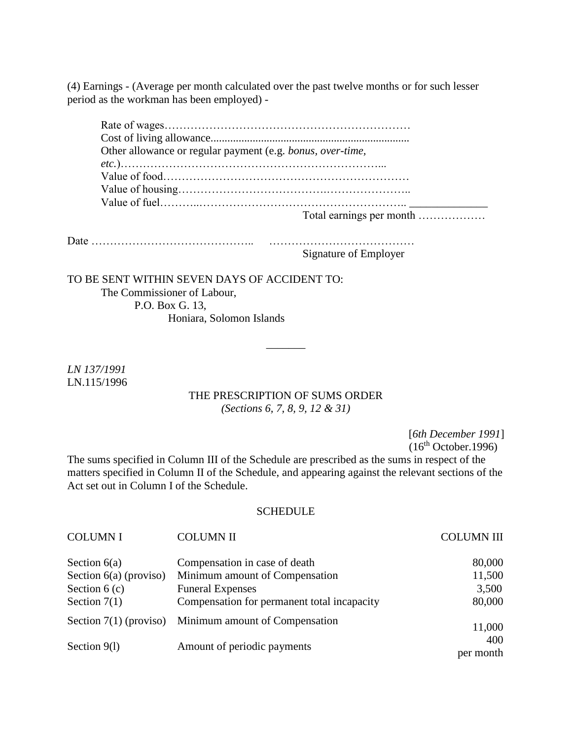(4) Earnings - (Average per month calculated over the past twelve months or for such lesser period as the workman has been employed) -

| Other allowance or regular payment (e.g. bonus, over-time, |
|------------------------------------------------------------|
|                                                            |
|                                                            |
|                                                            |
|                                                            |
| Total earnings per month                                   |

Date …………………………………….. …………………………………

Signature of Employer

TO BE SENT WITHIN SEVEN DAYS OF ACCIDENT TO: The Commissioner of Labour, P.O. Box G. 13, Honiara, Solomon Islands

*LN 137/1991* LN.115/1996

### THE PRESCRIPTION OF SUMS ORDER *(Sections 6, 7, 8, 9, 12 & 31)*

 $\overline{\phantom{a}}$ 

[*6th December 1991*]

 $(16<sup>th</sup> October.1996)$ 

The sums specified in Column III of the Schedule are prescribed as the sums in respect of the matters specified in Column II of the Schedule, and appearing against the relevant sections of the Act set out in Column I of the Schedule.

#### **SCHEDULE**

| <b>COLUMNI</b>           | <b>COLUMN II</b>                                        | <b>COLUMN III</b> |
|--------------------------|---------------------------------------------------------|-------------------|
| Section $6(a)$           | Compensation in case of death                           | 80,000            |
| Section $6(a)$ (proviso) | Minimum amount of Compensation                          | 11,500            |
| Section $6(c)$           | <b>Funeral Expenses</b>                                 | 3,500             |
| Section $7(1)$           | Compensation for permanent total incapacity             | 80,000            |
|                          | Section $7(1)$ (proviso) Minimum amount of Compensation | 11,000            |
| Section 9(1)             | Amount of periodic payments                             | 400<br>per month  |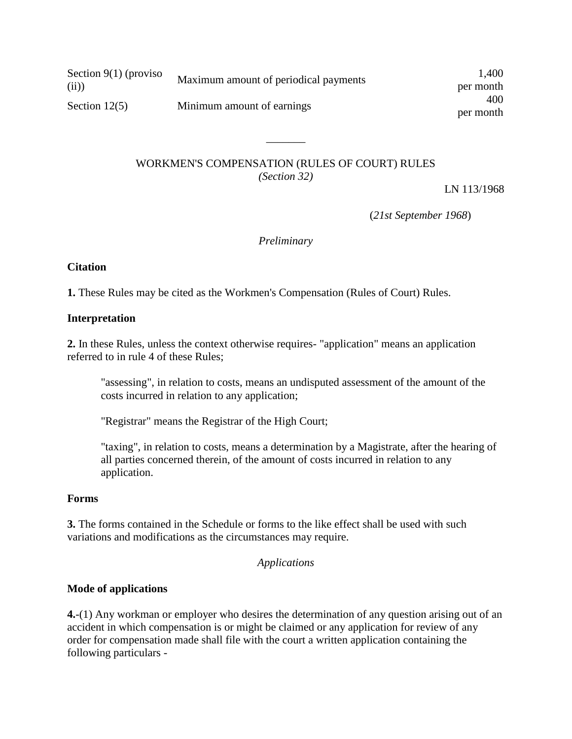| Section $9(1)$ (proviso<br>(ii) | Maximum amount of periodical payments | 1,400<br>per month |
|---------------------------------|---------------------------------------|--------------------|
| Section $12(5)$                 | Minimum amount of earnings            | 400<br>per month   |

### WORKMEN'S COMPENSATION (RULES OF COURT) RULES *(Section 32)*

 $\overline{\phantom{a}}$ 

LN 113/1968

(*21st September 1968*)

*Preliminary*

### **Citation**

**1.** These Rules may be cited as the Workmen's Compensation (Rules of Court) Rules.

### **Interpretation**

**2.** In these Rules, unless the context otherwise requires- "application" means an application referred to in rule 4 of these Rules;

"assessing", in relation to costs, means an undisputed assessment of the amount of the costs incurred in relation to any application;

"Registrar" means the Registrar of the High Court;

"taxing", in relation to costs, means a determination by a Magistrate, after the hearing of all parties concerned therein, of the amount of costs incurred in relation to any application.

### **Forms**

**3.** The forms contained in the Schedule or forms to the like effect shall be used with such variations and modifications as the circumstances may require.

### *Applications*

## **Mode of applications**

**4.**-(1) Any workman or employer who desires the determination of any question arising out of an accident in which compensation is or might be claimed or any application for review of any order for compensation made shall file with the court a written application containing the following particulars -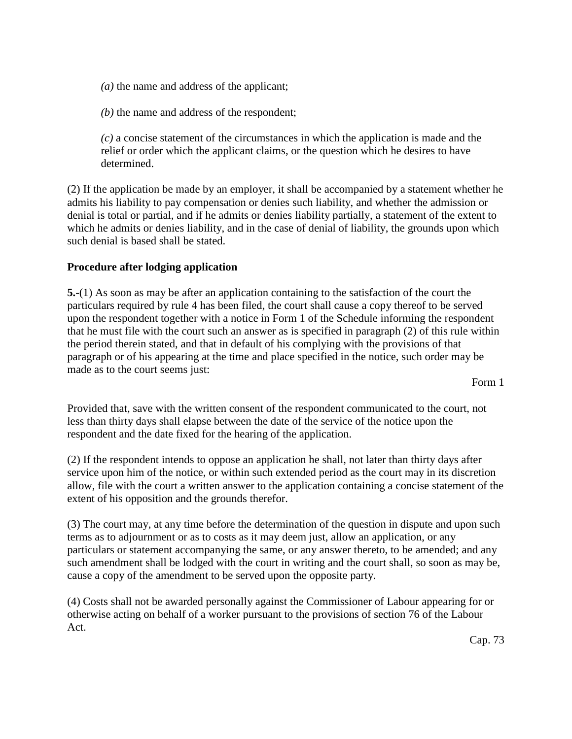*(a)* the name and address of the applicant;

*(b)* the name and address of the respondent;

*(c)* a concise statement of the circumstances in which the application is made and the relief or order which the applicant claims, or the question which he desires to have determined.

(2) If the application be made by an employer, it shall be accompanied by a statement whether he admits his liability to pay compensation or denies such liability, and whether the admission or denial is total or partial, and if he admits or denies liability partially, a statement of the extent to which he admits or denies liability, and in the case of denial of liability, the grounds upon which such denial is based shall be stated.

### **Procedure after lodging application**

**5.**-(1) As soon as may be after an application containing to the satisfaction of the court the particulars required by rule 4 has been filed, the court shall cause a copy thereof to be served upon the respondent together with a notice in Form 1 of the Schedule informing the respondent that he must file with the court such an answer as is specified in paragraph (2) of this rule within the period therein stated, and that in default of his complying with the provisions of that paragraph or of his appearing at the time and place specified in the notice, such order may be made as to the court seems just:

Form 1

Provided that, save with the written consent of the respondent communicated to the court, not less than thirty days shall elapse between the date of the service of the notice upon the respondent and the date fixed for the hearing of the application.

(2) If the respondent intends to oppose an application he shall, not later than thirty days after service upon him of the notice, or within such extended period as the court may in its discretion allow, file with the court a written answer to the application containing a concise statement of the extent of his opposition and the grounds therefor.

(3) The court may, at any time before the determination of the question in dispute and upon such terms as to adjournment or as to costs as it may deem just, allow an application, or any particulars or statement accompanying the same, or any answer thereto, to be amended; and any such amendment shall be lodged with the court in writing and the court shall, so soon as may be, cause a copy of the amendment to be served upon the opposite party.

(4) Costs shall not be awarded personally against the Commissioner of Labour appearing for or otherwise acting on behalf of a worker pursuant to the provisions of section 76 of the Labour Act.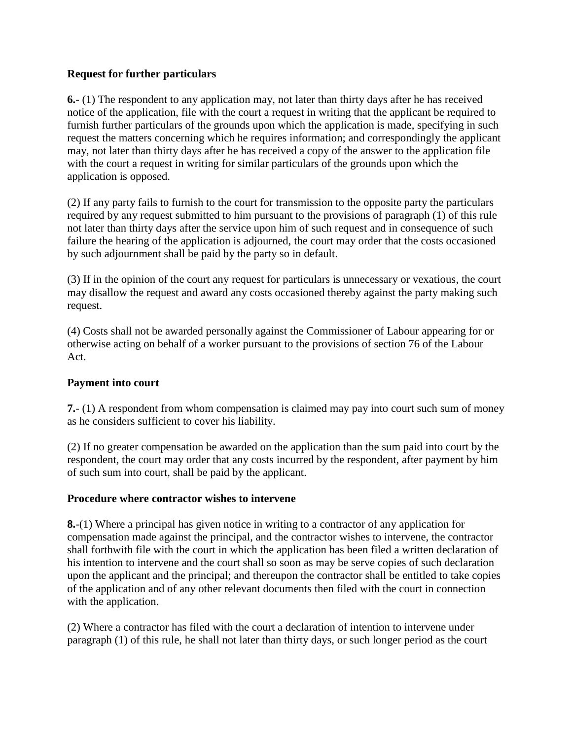## **Request for further particulars**

**6.**- (1) The respondent to any application may, not later than thirty days after he has received notice of the application, file with the court a request in writing that the applicant be required to furnish further particulars of the grounds upon which the application is made, specifying in such request the matters concerning which he requires information; and correspondingly the applicant may, not later than thirty days after he has received a copy of the answer to the application file with the court a request in writing for similar particulars of the grounds upon which the application is opposed.

(2) If any party fails to furnish to the court for transmission to the opposite party the particulars required by any request submitted to him pursuant to the provisions of paragraph (1) of this rule not later than thirty days after the service upon him of such request and in consequence of such failure the hearing of the application is adjourned, the court may order that the costs occasioned by such adjournment shall be paid by the party so in default.

(3) If in the opinion of the court any request for particulars is unnecessary or vexatious, the court may disallow the request and award any costs occasioned thereby against the party making such request.

(4) Costs shall not be awarded personally against the Commissioner of Labour appearing for or otherwise acting on behalf of a worker pursuant to the provisions of section 76 of the Labour Act.

## **Payment into court**

**7.**- (1) A respondent from whom compensation is claimed may pay into court such sum of money as he considers sufficient to cover his liability.

(2) If no greater compensation be awarded on the application than the sum paid into court by the respondent, the court may order that any costs incurred by the respondent, after payment by him of such sum into court, shall be paid by the applicant.

### **Procedure where contractor wishes to intervene**

**8.**-(1) Where a principal has given notice in writing to a contractor of any application for compensation made against the principal, and the contractor wishes to intervene, the contractor shall forthwith file with the court in which the application has been filed a written declaration of his intention to intervene and the court shall so soon as may be serve copies of such declaration upon the applicant and the principal; and thereupon the contractor shall be entitled to take copies of the application and of any other relevant documents then filed with the court in connection with the application.

(2) Where a contractor has filed with the court a declaration of intention to intervene under paragraph (1) of this rule, he shall not later than thirty days, or such longer period as the court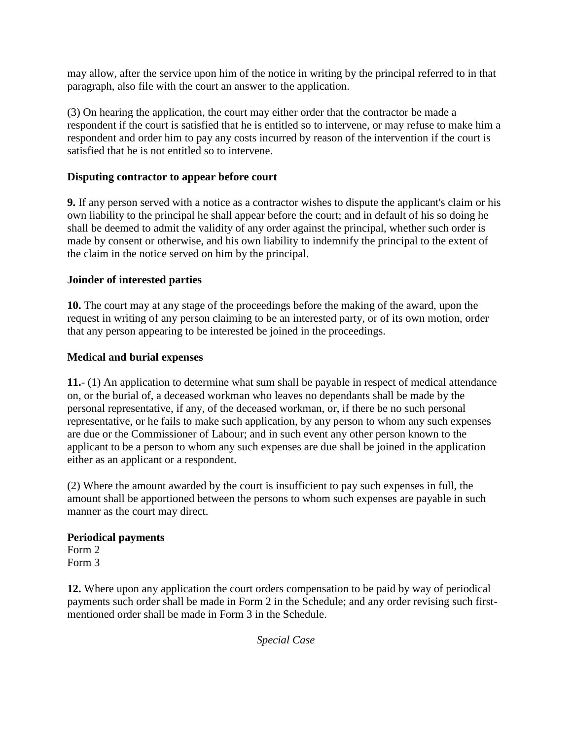may allow, after the service upon him of the notice in writing by the principal referred to in that paragraph, also file with the court an answer to the application.

(3) On hearing the application, the court may either order that the contractor be made a respondent if the court is satisfied that he is entitled so to intervene, or may refuse to make him a respondent and order him to pay any costs incurred by reason of the intervention if the court is satisfied that he is not entitled so to intervene.

## **Disputing contractor to appear before court**

**9.** If any person served with a notice as a contractor wishes to dispute the applicant's claim or his own liability to the principal he shall appear before the court; and in default of his so doing he shall be deemed to admit the validity of any order against the principal, whether such order is made by consent or otherwise, and his own liability to indemnify the principal to the extent of the claim in the notice served on him by the principal.

## **Joinder of interested parties**

**10.** The court may at any stage of the proceedings before the making of the award, upon the request in writing of any person claiming to be an interested party, or of its own motion, order that any person appearing to be interested be joined in the proceedings.

## **Medical and burial expenses**

**11.**- (1) An application to determine what sum shall be payable in respect of medical attendance on, or the burial of, a deceased workman who leaves no dependants shall be made by the personal representative, if any, of the deceased workman, or, if there be no such personal representative, or he fails to make such application, by any person to whom any such expenses are due or the Commissioner of Labour; and in such event any other person known to the applicant to be a person to whom any such expenses are due shall be joined in the application either as an applicant or a respondent.

(2) Where the amount awarded by the court is insufficient to pay such expenses in full, the amount shall be apportioned between the persons to whom such expenses are payable in such manner as the court may direct.

## **Periodical payments**

Form 2 Form 3

**12.** Where upon any application the court orders compensation to be paid by way of periodical payments such order shall be made in Form 2 in the Schedule; and any order revising such firstmentioned order shall be made in Form 3 in the Schedule.

*Special Case*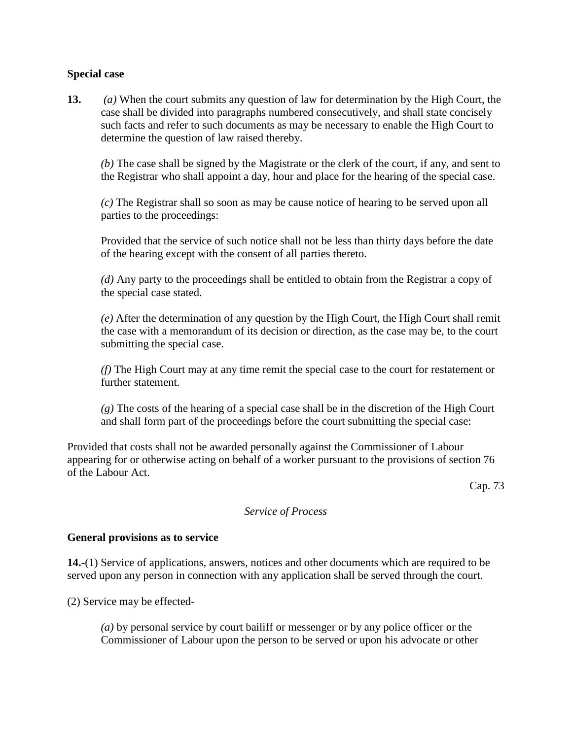### **Special case**

**13.** *(a)* When the court submits any question of law for determination by the High Court, the case shall be divided into paragraphs numbered consecutively, and shall state concisely such facts and refer to such documents as may be necessary to enable the High Court to determine the question of law raised thereby.

*(b)* The case shall be signed by the Magistrate or the clerk of the court, if any, and sent to the Registrar who shall appoint a day, hour and place for the hearing of the special case.

*(c)* The Registrar shall so soon as may be cause notice of hearing to be served upon all parties to the proceedings:

Provided that the service of such notice shall not be less than thirty days before the date of the hearing except with the consent of all parties thereto.

*(d)* Any party to the proceedings shall be entitled to obtain from the Registrar a copy of the special case stated.

*(e)* After the determination of any question by the High Court, the High Court shall remit the case with a memorandum of its decision or direction, as the case may be, to the court submitting the special case.

*(f)* The High Court may at any time remit the special case to the court for restatement or further statement.

*(g)* The costs of the hearing of a special case shall be in the discretion of the High Court and shall form part of the proceedings before the court submitting the special case:

Provided that costs shall not be awarded personally against the Commissioner of Labour appearing for or otherwise acting on behalf of a worker pursuant to the provisions of section 76 of the Labour Act.

Cap. 73

### *Service of Process*

### **General provisions as to service**

**14.**-(1) Service of applications, answers, notices and other documents which are required to be served upon any person in connection with any application shall be served through the court.

(2) Service may be effected-

*(a)* by personal service by court bailiff or messenger or by any police officer or the Commissioner of Labour upon the person to be served or upon his advocate or other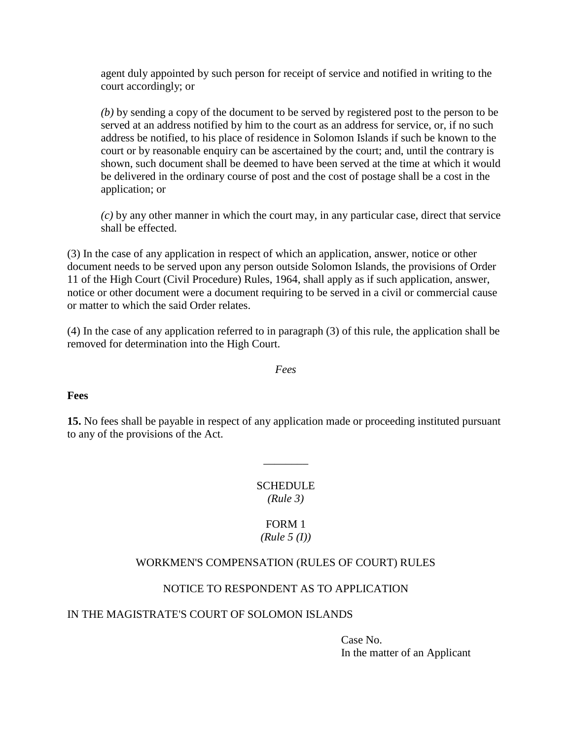agent duly appointed by such person for receipt of service and notified in writing to the court accordingly; or

*(b)* by sending a copy of the document to be served by registered post to the person to be served at an address notified by him to the court as an address for service, or, if no such address be notified, to his place of residence in Solomon Islands if such be known to the court or by reasonable enquiry can be ascertained by the court; and, until the contrary is shown, such document shall be deemed to have been served at the time at which it would be delivered in the ordinary course of post and the cost of postage shall be a cost in the application; or

*(c)* by any other manner in which the court may, in any particular case, direct that service shall be effected.

(3) In the case of any application in respect of which an application, answer, notice or other document needs to be served upon any person outside Solomon Islands, the provisions of Order 11 of the High Court (Civil Procedure) Rules, 1964, shall apply as if such application, answer, notice or other document were a document requiring to be served in a civil or commercial cause or matter to which the said Order relates.

(4) In the case of any application referred to in paragraph (3) of this rule, the application shall be removed for determination into the High Court.

*Fees*

### **Fees**

**15.** No fees shall be payable in respect of any application made or proceeding instituted pursuant to any of the provisions of the Act.

\_\_\_\_\_\_\_\_

**SCHEDULE** *(Rule 3)*

### FORM 1 *(Rule 5 (I))*

## WORKMEN'S COMPENSATION (RULES OF COURT) RULES

## NOTICE TO RESPONDENT AS TO APPLICATION

### IN THE MAGISTRATE'S COURT OF SOLOMON ISLANDS

Case No. In the matter of an Applicant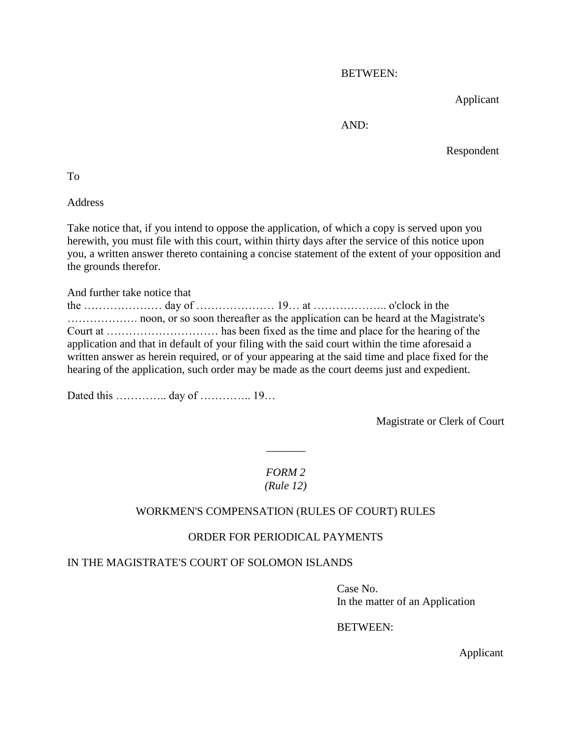BETWEEN:

Applicant

AND:

Respondent

To

Address

Take notice that, if you intend to oppose the application, of which a copy is served upon you herewith, you must file with this court, within thirty days after the service of this notice upon you, a written answer thereto containing a concise statement of the extent of your opposition and the grounds therefor.

And further take notice that

the ………………… day of ………………… 19… at ……………….. o'clock in the ………………. noon, or so soon thereafter as the application can be heard at the Magistrate's Court at ………………………… has been fixed as the time and place for the hearing of the application and that in default of your filing with the said court within the time aforesaid a written answer as herein required, or of your appearing at the said time and place fixed for the hearing of the application, such order may be made as the court deems just and expedient.

Dated this ………….. day of ………….. 19…

Magistrate or Clerk of Court

## *FORM 2 (Rule 12)*

 $\overline{\phantom{a}}$ 

## WORKMEN'S COMPENSATION (RULES OF COURT) RULES

## ORDER FOR PERIODICAL PAYMENTS

## IN THE MAGISTRATE'S COURT OF SOLOMON ISLANDS

Case No. In the matter of an Application

## BETWEEN:

Applicant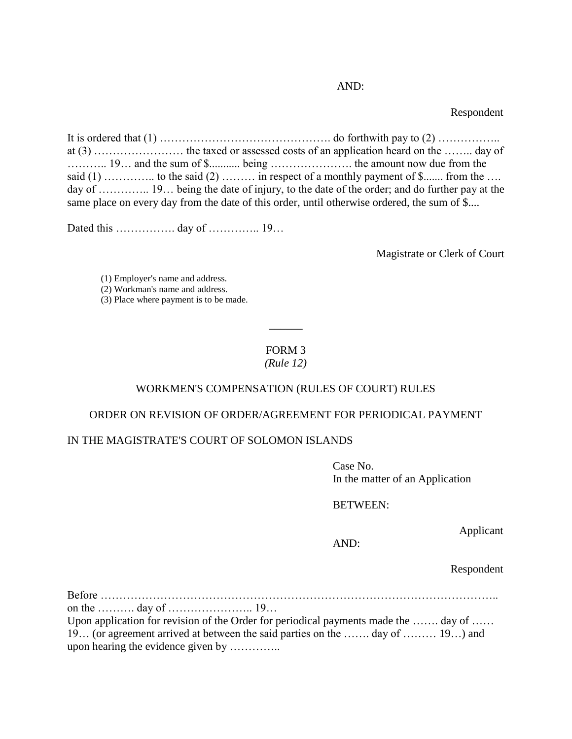### AND:

Respondent

It is ordered that  $(1)$  …  $\ldots$   $\ldots$   $\ldots$   $\ldots$   $\ldots$   $\ldots$   $\ldots$  do forthwith pay to  $(2)$   $\ldots$   $\ldots$   $\ldots$ at (3) …………………… the taxed or assessed costs of an application heard on the …….. day of ……….. 19… and the sum of \$........... being …………………. the amount now due from the said  $(1)$  … ……….. to the said  $(2)$  … …… in respect of a monthly payment of \$… from the … day of ............... 19... being the date of injury, to the date of the order; and do further pay at the same place on every day from the date of this order, until otherwise ordered, the sum of \$....

Dated this ………………… day of …………… 19…

Magistrate or Clerk of Court

(1) Employer's name and address. (2) Workman's name and address. (3) Place where payment is to be made.

# FORM 3

 $\overline{\phantom{a}}$ 

### *(Rule 12)*

#### WORKMEN'S COMPENSATION (RULES OF COURT) RULES

#### ORDER ON REVISION OF ORDER/AGREEMENT FOR PERIODICAL PAYMENT

#### IN THE MAGISTRATE'S COURT OF SOLOMON ISLANDS

Case No. In the matter of an Application

#### BETWEEN:

Applicant

#### AND:

Respondent

Before …………………………………………………………………………………………….. on the ………. day of ………………….. 19… Upon application for revision of the Order for periodical payments made the ……. day of …… 19… (or agreement arrived at between the said parties on the ……. day of ……… 19…) and upon hearing the evidence given by …………..